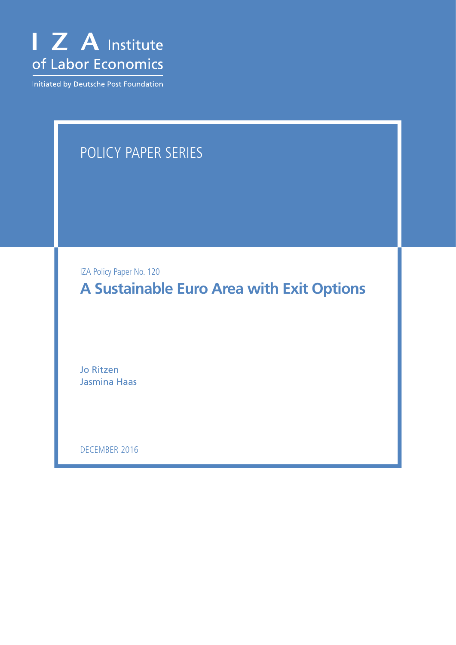

Initiated by Deutsche Post Foundation

# Policy Paper Series

IZA Policy Paper No. 120

**A Sustainable Euro Area with Exit Options**

Jo Ritzen Jasmina Haas

December 2016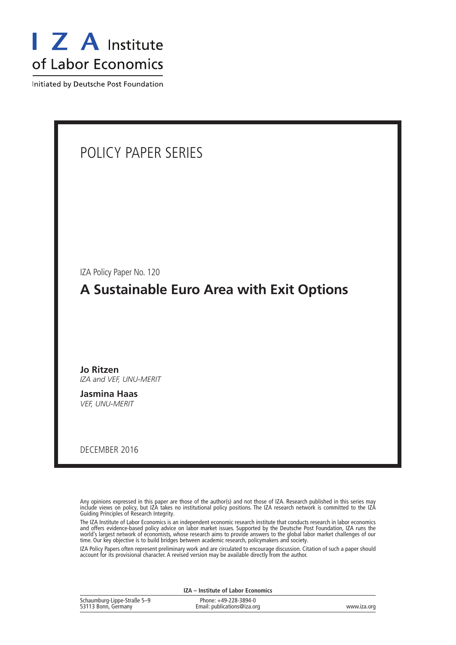

Initiated by Deutsche Post Foundation

| POLICY PAPER SERIES                                                   |
|-----------------------------------------------------------------------|
|                                                                       |
| IZA Policy Paper No. 120<br>A Sustainable Euro Area with Exit Options |
| <b>Jo Ritzen</b><br>IZA and VEF, UNU-MERIT<br><b>Jasmina Haas</b>     |
| VEF, UNU-MERIT<br>DECEMBER 2016                                       |

Any opinions expressed in this paper are those of the author(s) and not those of IZA. Research published in this series may include views on policy, but IZA takes no institutional policy positions. The IZA research network is committed to the IZA Guiding Principles of Research Integrity.

The IZA Institute of Labor Economics is an independent economic research institute that conducts research in labor economics and offers evidence-based policy advice on labor market issues. Supported by the Deutsche Post Foundation, IZA runs the world's largest network of economists, whose research aims to provide answers to the global labor market challenges of our time. Our key objective is to build bridges between academic research, policymakers and society.

IZA Policy Papers often represent preliminary work and are circulated to encourage discussion. Citation of such a paper should account for its provisional character. A revised version may be available directly from the author.

**IZA – Institute of Labor Economics**

| Schaumburg-Lippe-Straße 5-9 | Phone: +49-228-3894-0       |             |
|-----------------------------|-----------------------------|-------------|
| 53113 Bonn, Germany         | Email: publications@iza.org | www.iza.org |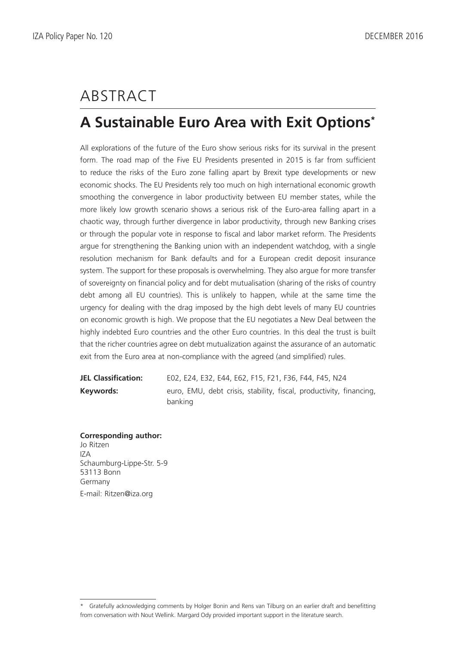# **ABSTRACT**

# **A Sustainable Euro Area with Exit Options\***

All explorations of the future of the Euro show serious risks for its survival in the present form. The road map of the Five EU Presidents presented in 2015 is far from sufficient to reduce the risks of the Euro zone falling apart by Brexit type developments or new economic shocks. The EU Presidents rely too much on high international economic growth smoothing the convergence in labor productivity between EU member states, while the more likely low growth scenario shows a serious risk of the Euro-area falling apart in a chaotic way, through further divergence in labor productivity, through new Banking crises or through the popular vote in response to fiscal and labor market reform. The Presidents argue for strengthening the Banking union with an independent watchdog, with a single resolution mechanism for Bank defaults and for a European credit deposit insurance system. The support for these proposals is overwhelming. They also argue for more transfer of sovereignty on financial policy and for debt mutualisation (sharing of the risks of country debt among all EU countries). This is unlikely to happen, while at the same time the urgency for dealing with the drag imposed by the high debt levels of many EU countries on economic growth is high. We propose that the EU negotiates a New Deal between the highly indebted Euro countries and the other Euro countries. In this deal the trust is built that the richer countries agree on debt mutualization against the assurance of an automatic exit from the Euro area at non-compliance with the agreed (and simplified) rules.

**JEL Classification:** E02, E24, E32, E44, E62, F15, F21, F36, F44, F45, N24 **Keywords:** euro, EMU, debt crisis, stability, fiscal, productivity, financing, banking

**Corresponding author:** Jo Ritzen  $IZ\Delta$ Schaumburg-Lippe-Str. 5-9 53113 Bonn Germany

E-mail: Ritzen@iza.org

<sup>\*</sup> Gratefully acknowledging comments by Holger Bonin and Rens van Tilburg on an earlier draft and benefitting from conversation with Nout Wellink. Margard Ody provided important support in the literature search.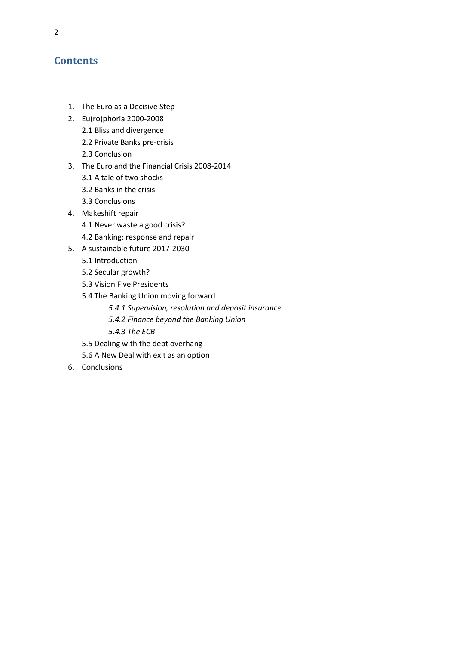# **Contents**

- 1. The Euro as a Decisive Step
- 2. Eu(ro)phoria 2000-2008
	- 2.1 Bliss and divergence
	- 2.2 Private Banks pre-crisis
	- 2.3 Conclusion
- 3. The Euro and the Financial Crisis 2008-2014
	- 3.1 A tale of two shocks
	- 3.2 Banks in the crisis
	- 3.3 Conclusions
- 4. Makeshift repair
	- 4.1 Never waste a good crisis?
	- 4.2 Banking: response and repair
- 5. A sustainable future 2017-2030
	- 5.1 Introduction
	- 5.2 Secular growth?
	- 5.3 Vision Five Presidents
	- 5.4 The Banking Union moving forward
		- *5.4.1 Supervision, resolution and deposit insurance*
		- *5.4.2 Finance beyond the Banking Union*
		- *5.4.3 The ECB*
	- 5.5 Dealing with the debt overhang
	- 5.6 A New Deal with exit as an option
- 6. Conclusions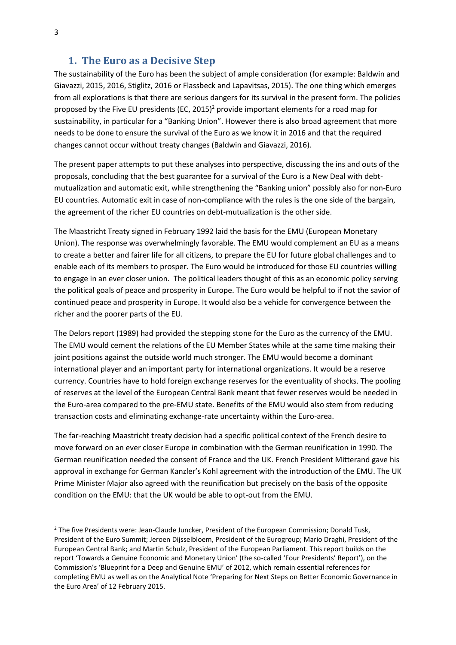## **1. The Euro as a Decisive Step**

The sustainability of the Euro has been the subject of ample consideration (for example: Baldwin and Giavazzi, 2015, 2016, Stiglitz, 2016 or Flassbeck and Lapavitsas, 2015). The one thing which emerges from all explorations is that there are serious dangers for its survival in the present form. The policies proposed by the Five EU presidents (EC, 2015)<sup>2</sup> provide important elements for a road map for sustainability, in particular for a "Banking Union". However there is also broad agreement that more needs to be done to ensure the survival of the Euro as we know it in 2016 and that the required changes cannot occur without treaty changes (Baldwin and Giavazzi, 2016).

The present paper attempts to put these analyses into perspective, discussing the ins and outs of the proposals, concluding that the best guarantee for a survival of the Euro is a New Deal with debtmutualization and automatic exit, while strengthening the "Banking union" possibly also for non-Euro EU countries. Automatic exit in case of non-compliance with the rules is the one side of the bargain, the agreement of the richer EU countries on debt-mutualization is the other side.

The Maastricht Treaty signed in February 1992 laid the basis for the EMU (European Monetary Union). The response was overwhelmingly favorable. The EMU would complement an EU as a means to create a better and fairer life for all citizens, to prepare the EU for future global challenges and to enable each of its members to prosper. The Euro would be introduced for those EU countries willing to engage in an ever closer union. The political leaders thought of this as an economic policy serving the political goals of peace and prosperity in Europe. The Euro would be helpful to if not the savior of continued peace and prosperity in Europe. It would also be a vehicle for convergence between the richer and the poorer parts of the EU.

The Delors report (1989) had provided the stepping stone for the Euro as the currency of the EMU. The EMU would cement the relations of the EU Member States while at the same time making their joint positions against the outside world much stronger. The EMU would become a dominant international player and an important party for international organizations. It would be a reserve currency. Countries have to hold foreign exchange reserves for the eventuality of shocks. The pooling of reserves at the level of the European Central Bank meant that fewer reserves would be needed in the Euro-area compared to the pre-EMU state. Benefits of the EMU would also stem from reducing transaction costs and eliminating exchange-rate uncertainty within the Euro-area.

The far-reaching Maastricht treaty decision had a specific political context of the French desire to move forward on an ever closer Europe in combination with the German reunification in 1990. The German reunification needed the consent of France and the UK. French President Mitterand gave his approval in exchange for German Kanzler's Kohl agreement with the introduction of the EMU. The UK Prime Minister Major also agreed with the reunification but precisely on the basis of the opposite condition on the EMU: that the UK would be able to opt-out from the EMU.

1

<sup>&</sup>lt;sup>2</sup> The five Presidents were: Jean-Claude Juncker, President of the European Commission; Donald Tusk, President of the Euro Summit; Jeroen Dijsselbloem, President of the Eurogroup; Mario Draghi, President of the European Central Bank; and Martin Schulz, President of the European Parliament. This report builds on the report 'Towards a Genuine Economic and Monetary Union' (the so-called 'Four Presidents' Report'), on the Commission's 'Blueprint for a Deep and Genuine EMU' of 2012, which remain essential references for completing EMU as well as on the Analytical Note 'Preparing for Next Steps on Better Economic Governance in the Euro Area' of 12 February 2015.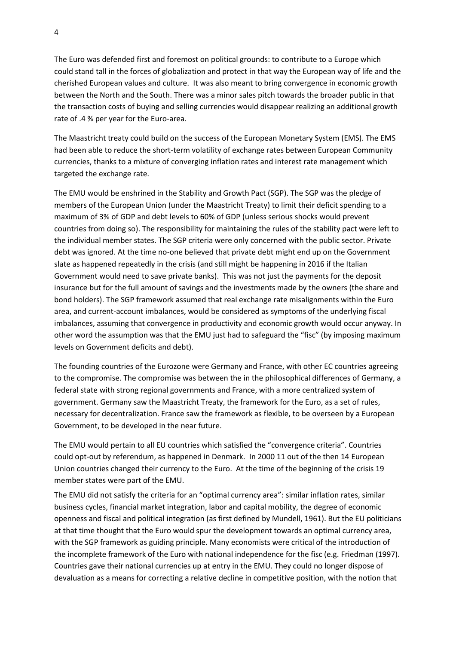The Euro was defended first and foremost on political grounds: to contribute to a Europe which could stand tall in the forces of globalization and protect in that way the European way of life and the cherished European values and culture. It was also meant to bring convergence in economic growth between the North and the South. There was a minor sales pitch towards the broader public in that the transaction costs of buying and selling currencies would disappear realizing an additional growth rate of .4 % per year for the Euro-area.

The Maastricht treaty could build on the success of the European Monetary System (EMS). The EMS had been able to reduce the short-term volatility of exchange rates between European Community currencies, thanks to a mixture of converging inflation rates and interest rate management which targeted the exchange rate.

The EMU would be enshrined in the Stability and Growth Pact (SGP). The SGP was the pledge of members of the European Union (under the [Maastricht Treaty\)](https://en.wikipedia.org/wiki/Maastricht_Treaty) to limit their [deficit spending](https://en.wikipedia.org/wiki/Deficit_spending) to a maximum of 3% of GDP and debt levels to 60% of GDP (unless serious shocks would prevent countries from doing so). The responsibility for maintaining the rules of the stability pact were left to the individual member states. The SGP criteria were only concerned with the public sector. Private debt was ignored. At the time no-one believed that private debt might end up on the Government slate as happened repeatedly in the crisis (and still might be happening in 2016 if the Italian Government would need to save private banks). This was not just the payments for the deposit insurance but for the full amount of savings and the investments made by the owners (the share and bond holders). The SGP framework assumed that real exchange rate misalignments within the Euro area, and current-account imbalances, would be considered as symptoms of the underlying fiscal imbalances, assuming that convergence in productivity and economic growth would occur anyway. In other word the assumption was that the EMU just had to safeguard the "fisc" (by imposing maximum levels on Government deficits and debt).

The founding countries of the Eurozone were Germany and France, with other EC countries agreeing to the compromise. The compromise was between the in the philosophical differences of Germany, a federal state with strong regional governments and France, with a more centralized system of government. Germany saw the Maastricht Treaty, the framework for the Euro, as a set of rules, necessary for decentralization. France saw the framework as flexible, to be overseen by a European Government, to be developed in the near future.

The EMU would pertain to all EU countries which satisfied the "convergence criteria". Countries could opt-out by referendum, as happened in Denmark. In 2000 11 out of the then 14 European Union countries changed their currency to the Euro. At the time of the beginning of the crisis 19 member states were part of the EMU.

The EMU did not satisfy the criteria for an "optimal currency area": similar inflation rates, similar business cycles, financial market integration, labor and capital mobility, the degree of economic openness and fiscal and political integration (as first defined by Mundell, 1961). But the EU politicians at that time thought that the Euro would spur the development towards an optimal currency area, with the SGP framework as guiding principle. Many economists were critical of the introduction of the incomplete framework of the Euro with national independence for the fisc (e.g. Friedman (1997). Countries gave their national currencies up at entry in the EMU. They could no longer dispose of devaluation as a means for correcting a relative decline in competitive position, with the notion that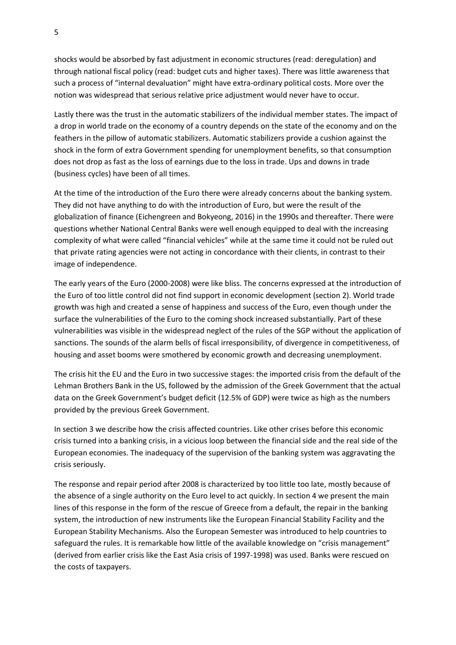shocks would be absorbed by fast adjustment in economic structures (read: deregulation) and through national fiscal policy (read: budget cuts and higher taxes). There was little awareness that such a process of "internal devaluation" might have extra-ordinary political costs. More over the notion was widespread that serious relative price adjustment would never have to occur.

Lastly there was the trust in the automatic stabilizers of the individual member states. The impact of a drop in world trade on the economy of a country depends on the state of the economy and on the feathers in the pillow of automatic stabilizers. Automatic stabilizers provide a cushion against the shock in the form of extra Government spending for unemployment benefits, so that consumption does not drop as fast as the loss of earnings due to the loss in trade. Ups and downs in trade (business cycles) have been of all times.

At the time of the introduction of the Euro there were already concerns about the banking system. They did not have anything to do with the introduction of Euro, but were the result of the globalization of finance (Eichengreen and Bokyeong, 2016) in the 1990s and thereafter. There were questions whether National Central Banks were well enough equipped to deal with the increasing complexity of what were called "financial vehicles" while at the same time it could not be ruled out that private rating agencies were not acting in concordance with their clients, in contrast to their image of independence.

The early years of the Euro (2000-2008) were like bliss. The concerns expressed at the introduction of the Euro of too little control did not find support in economic development (section 2). World trade growth was high and created a sense of happiness and success of the Euro, even though under the surface the vulnerabilities of the Euro to the coming shock increased substantially. Part of these vulnerabilities was visible in the widespread neglect of the rules of the SGP without the application of sanctions. The sounds of the alarm bells of fiscal irresponsibility, of divergence in competitiveness, of housing and asset booms were smothered by economic growth and decreasing unemployment.

The crisis hit the EU and the Euro in two successive stages: the imported crisis from the default of the Lehman Brothers Bank in the US, followed by the admission of the Greek Government that the actual data on the Greek Government's budget deficit (12.5% of GDP) were twice as high as the numbers provided by the previous Greek Government.

In section 3 we describe how the crisis affected countries. Like other crises before this economic crisis turned into a banking crisis, in a vicious loop between the financial side and the real side of the European economies. The inadequacy of the supervision of the banking system was aggravating the crisis seriously.

The response and repair period after 2008 is characterized by too little too late, mostly because of the absence of a single authority on the Euro level to act quickly. In section 4 we present the main lines of this response in the form of the rescue of Greece from a default, the repair in the banking system, the introduction of new instruments like the European Financial Stability Facility and the European Stability Mechanisms. Also the European Semester was introduced to help countries to safeguard the rules. It is remarkable how little of the available knowledge on "crisis management" (derived from earlier crisis like the East Asia crisis of 1997-1998) was used. Banks were rescued on the costs of taxpayers.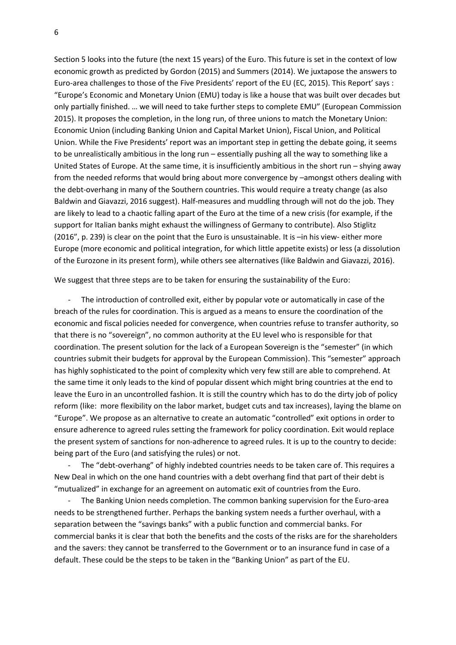Section 5 looks into the future (the next 15 years) of the Euro. This future is set in the context of low economic growth as predicted by Gordon (2015) and Summers (2014). We juxtapose the answers to Euro-area challenges to those of the Five Presidents' report of the EU (EC, 2015). This Report' says : "Europe's Economic and Monetary Union (EMU) today is like a house that was built over decades but only partially finished. … we will need to take further steps to complete EMU" (European Commission 2015). It proposes the completion, in the long run, of three unions to match the Monetary Union: Economic Union (including Banking Union and Capital Market Union), Fiscal Union, and Political Union. While the Five Presidents' report was an important step in getting the debate going, it seems to be unrealistically ambitious in the long run – essentially pushing all the way to something like a United States of Europe. At the same time, it is insufficiently ambitious in the short run – shying away from the needed reforms that would bring about more convergence by –amongst others dealing with the debt-overhang in many of the Southern countries. This would require a treaty change (as also Baldwin and Giavazzi, 2016 suggest). Half-measures and muddling through will not do the job. They are likely to lead to a chaotic falling apart of the Euro at the time of a new crisis (for example, if the support for Italian banks might exhaust the willingness of Germany to contribute). Also Stiglitz (2016", p. 239) is clear on the point that the Euro is unsustainable. It is –in his view- either more Europe (more economic and political integration, for which little appetite exists) or less (a dissolution of the Eurozone in its present form), while others see alternatives (like Baldwin and Giavazzi, 2016).

We suggest that three steps are to be taken for ensuring the sustainability of the Euro:

- The introduction of controlled exit, either by popular vote or automatically in case of the breach of the rules for coordination. This is argued as a means to ensure the coordination of the economic and fiscal policies needed for convergence, when countries refuse to transfer authority, so that there is no "sovereign", no common authority at the EU level who is responsible for that coordination. The present solution for the lack of a European Sovereign is the "semester" (in which countries submit their budgets for approval by the European Commission). This "semester" approach has highly sophisticated to the point of complexity which very few still are able to comprehend. At the same time it only leads to the kind of popular dissent which might bring countries at the end to leave the Euro in an uncontrolled fashion. It is still the country which has to do the dirty job of policy reform (like: more flexibility on the labor market, budget cuts and tax increases), laying the blame on "Europe". We propose as an alternative to create an automatic "controlled" exit options in order to ensure adherence to agreed rules setting the framework for policy coordination. Exit would replace the present system of sanctions for non-adherence to agreed rules. It is up to the country to decide: being part of the Euro (and satisfying the rules) or not.

- The "debt-overhang" of highly indebted countries needs to be taken care of. This requires a New Deal in which on the one hand countries with a debt overhang find that part of their debt is "mutualized" in exchange for an agreement on automatic exit of countries from the Euro.

The Banking Union needs completion. The common banking supervision for the Euro-area needs to be strengthened further. Perhaps the banking system needs a further overhaul, with a separation between the "savings banks" with a public function and commercial banks. For commercial banks it is clear that both the benefits and the costs of the risks are for the shareholders and the savers: they cannot be transferred to the Government or to an insurance fund in case of a default. These could be the steps to be taken in the "Banking Union" as part of the EU.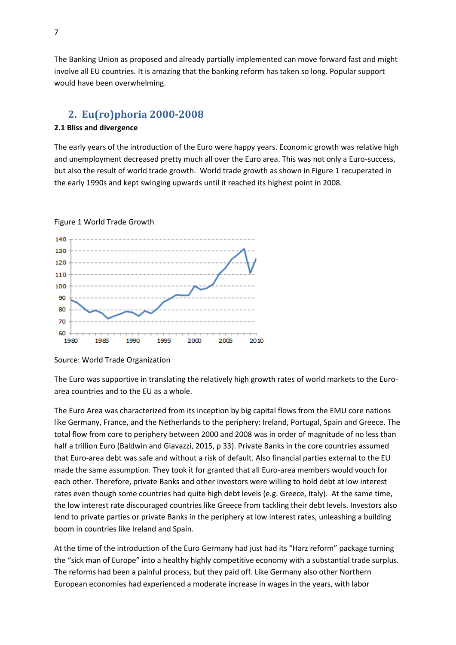The Banking Union as proposed and already partially implemented can move forward fast and might involve all EU countries. It is amazing that the banking reform has taken so long. Popular support would have been overwhelming.

## **2. Eu(ro)phoria 2000-2008**

#### **2.1 Bliss and divergence**

The early years of the introduction of the Euro were happy years. Economic growth was relative high and unemployment decreased pretty much all over the Euro area. This was not only a Euro-success, but also the result of world trade growth. World trade growth as shown in Figure 1 recuperated in the early 1990s and kept swinging upwards until it reached its highest point in 2008.



#### Figure 1 World Trade Growth

#### Source: World Trade Organization

The Euro was supportive in translating the relatively high growth rates of world markets to the Euroarea countries and to the EU as a whole.

The Euro Area was characterized from its inception by big capital flows from the EMU core nations like Germany, France, and the Netherlands to the periphery: Ireland, Portugal, Spain and Greece. The total flow from core to periphery between 2000 and 2008 was in order of magnitude of no less than half a trillion Euro (Baldwin and Giavazzi, 2015, p 33). Private Banks in the core countries assumed that Euro-area debt was safe and without a risk of default. Also financial parties external to the EU made the same assumption. They took it for granted that all Euro-area members would vouch for each other. Therefore, private Banks and other investors were willing to hold debt at low interest rates even though some countries had quite high debt levels (e.g. Greece, Italy). At the same time, the low interest rate discouraged countries like Greece from tackling their debt levels. Investors also lend to private parties or private Banks in the periphery at low interest rates, unleashing a building boom in countries like Ireland and Spain.

At the time of the introduction of the Euro Germany had just had its "Harz reform" package turning the "sick man of Europe" into a healthy highly competitive economy with a substantial trade surplus. The reforms had been a painful process, but they paid off. Like Germany also other Northern European economies had experienced a moderate increase in wages in the years, with labor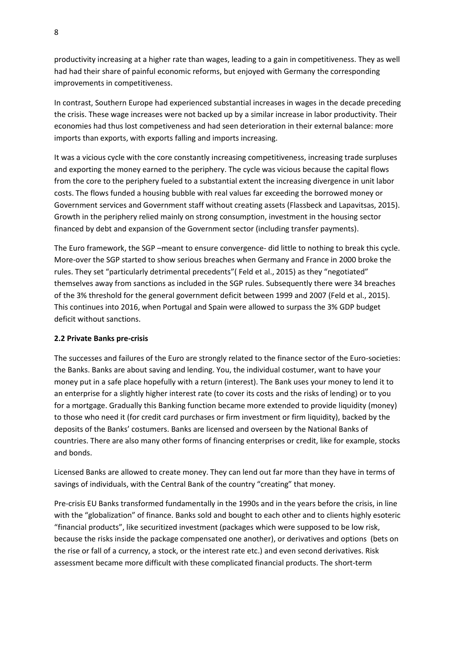productivity increasing at a higher rate than wages, leading to a gain in competitiveness. They as well had had their share of painful economic reforms, but enjoyed with Germany the corresponding improvements in competitiveness.

In contrast, Southern Europe had experienced substantial increases in wages in the decade preceding the crisis. These wage increases were not backed up by a similar increase in labor productivity. Their economies had thus lost competiveness and had seen deterioration in their external balance: more imports than exports, with exports falling and imports increasing.

It was a vicious cycle with the core constantly increasing competitiveness, increasing trade surpluses and exporting the money earned to the periphery. The cycle was vicious because the capital flows from the core to the periphery fueled to a substantial extent the increasing divergence in unit labor costs. The flows funded a housing bubble with real values far exceeding the borrowed money or Government services and Government staff without creating assets (Flassbeck and Lapavitsas, 2015). Growth in the periphery relied mainly on strong consumption, investment in the housing sector financed by debt and expansion of the Government sector (including transfer payments).

The Euro framework, the SGP –meant to ensure convergence- did little to nothing to break this cycle. More-over the SGP started to show serious breaches when Germany and France in 2000 broke the rules. They set "particularly detrimental precedents"( Feld et al., 2015) as they "negotiated" themselves away from sanctions as included in the SGP rules. Subsequently there were 34 breaches of the 3% threshold for the general government deficit between 1999 and 2007 (Feld et al., 2015). This continues into 2016, when Portugal and Spain were allowed to surpass the 3% GDP budget deficit without sanctions.

#### **2.2 Private Banks pre-crisis**

The successes and failures of the Euro are strongly related to the finance sector of the Euro-societies: the Banks. Banks are about saving and lending. You, the individual costumer, want to have your money put in a safe place hopefully with a return (interest). The Bank uses your money to lend it to an enterprise for a slightly higher interest rate (to cover its costs and the risks of lending) or to you for a mortgage. Gradually this Banking function became more extended to provide liquidity (money) to those who need it (for credit card purchases or firm investment or firm liquidity), backed by the deposits of the Banks' costumers. Banks are licensed and overseen by the National Banks of countries. There are also many other forms of financing enterprises or credit, like for example, stocks and bonds.

Licensed Banks are allowed to create money. They can lend out far more than they have in terms of savings of individuals, with the Central Bank of the country "creating" that money.

Pre-crisis EU Banks transformed fundamentally in the 1990s and in the years before the crisis, in line with the "globalization" of finance. Banks sold and bought to each other and to clients highly esoteric "financial products", like securitized investment (packages which were supposed to be low risk, because the risks inside the package compensated one another), or derivatives and options (bets on the rise or fall of a currency, a stock, or the interest rate etc.) and even second derivatives. Risk assessment became more difficult with these complicated financial products. The short-term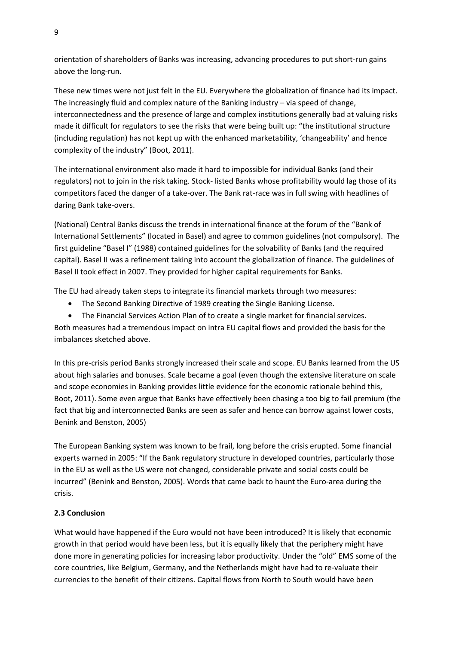orientation of shareholders of Banks was increasing, advancing procedures to put short-run gains above the long-run.

These new times were not just felt in the EU. Everywhere the globalization of finance had its impact. The increasingly fluid and complex nature of the Banking industry – via speed of change, interconnectedness and the presence of large and complex institutions generally bad at valuing risks made it difficult for regulators to see the risks that were being built up: "the institutional structure (including regulation) has not kept up with the enhanced marketability, 'changeability' and hence complexity of the industry" (Boot, 2011).

The international environment also made it hard to impossible for individual Banks (and their regulators) not to join in the risk taking. Stock- listed Banks whose profitability would lag those of its competitors faced the danger of a take-over. The Bank rat-race was in full swing with headlines of daring Bank take-overs.

(National) Central Banks discuss the trends in international finance at the forum of the "Bank of International Settlements" (located in Basel) and agree to common guidelines (not compulsory). The first guideline "Basel I" (1988) contained guidelines for the solvability of Banks (and the required capital). Basel II was a refinement taking into account the globalization of finance. The guidelines of Basel II took effect in 2007. They provided for higher capital requirements for Banks.

The EU had already taken steps to integrate its financial markets through two measures:

• The Second Banking Directive of 1989 creating the Single Banking License.

 The Financial Services Action Plan of to create a single market for financial services. Both measures had a tremendous impact on intra EU capital flows and provided the basis for the imbalances sketched above.

In this pre-crisis period Banks strongly increased their scale and scope. EU Banks learned from the US about high salaries and bonuses. Scale became a goal (even though the extensive literature on scale and scope economies in Banking provides little evidence for the economic rationale behind this, Boot, 2011). Some even argue that Banks have effectively been chasing a too big to fail premium (the fact that big and interconnected Banks are seen as safer and hence can borrow against lower costs, Benink and Benston, 2005)

The European Banking system was known to be frail, long before the crisis erupted. Some financial experts warned in 2005: "If the Bank regulatory structure in developed countries, particularly those in the EU as well as the US were not changed, considerable private and social costs could be incurred" (Benink and Benston, 2005). Words that came back to haunt the Euro-area during the crisis.

## **2.3 Conclusion**

What would have happened if the Euro would not have been introduced? It is likely that economic growth in that period would have been less, but it is equally likely that the periphery might have done more in generating policies for increasing labor productivity. Under the "old" EMS some of the core countries, like Belgium, Germany, and the Netherlands might have had to re-valuate their currencies to the benefit of their citizens. Capital flows from North to South would have been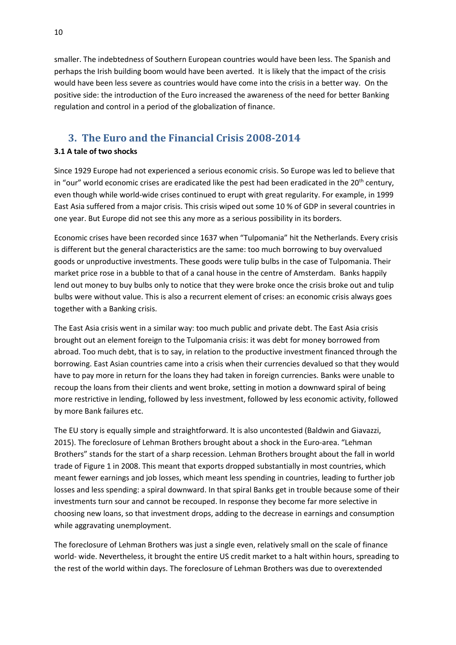smaller. The indebtedness of Southern European countries would have been less. The Spanish and perhaps the Irish building boom would have been averted. It is likely that the impact of the crisis would have been less severe as countries would have come into the crisis in a better way. On the positive side: the introduction of the Euro increased the awareness of the need for better Banking regulation and control in a period of the globalization of finance.

## **3. The Euro and the Financial Crisis 2008-2014**

### **3.1 A tale of two shocks**

Since 1929 Europe had not experienced a serious economic crisis. So Europe was led to believe that in "our" world economic crises are eradicated like the pest had been eradicated in the  $20<sup>th</sup>$  century, even though while world-wide crises continued to erupt with great regularity. For example, in 1999 East Asia suffered from a major crisis. This crisis wiped out some 10 % of GDP in several countries in one year. But Europe did not see this any more as a serious possibility in its borders.

Economic crises have been recorded since 1637 when "Tulpomania" hit the Netherlands. Every crisis is different but the general characteristics are the same: too much borrowing to buy overvalued goods or unproductive investments. These goods were tulip bulbs in the case of Tulpomania. Their market price rose in a bubble to that of a canal house in the centre of Amsterdam. Banks happily lend out money to buy bulbs only to notice that they were broke once the crisis broke out and tulip bulbs were without value. This is also a recurrent element of crises: an economic crisis always goes together with a Banking crisis.

The East Asia crisis went in a similar way: too much public and private debt. The East Asia crisis brought out an element foreign to the Tulpomania crisis: it was debt for money borrowed from abroad. Too much debt, that is to say, in relation to the productive investment financed through the borrowing. East Asian countries came into a crisis when their currencies devalued so that they would have to pay more in return for the loans they had taken in foreign currencies. Banks were unable to recoup the loans from their clients and went broke, setting in motion a downward spiral of being more restrictive in lending, followed by less investment, followed by less economic activity, followed by more Bank failures etc.

The EU story is equally simple and straightforward. It is also uncontested (Baldwin and Giavazzi, 2015). The foreclosure of Lehman Brothers brought about a shock in the Euro-area. "Lehman Brothers" stands for the start of a sharp recession. Lehman Brothers brought about the fall in world trade of Figure 1 in 2008. This meant that exports dropped substantially in most countries, which meant fewer earnings and job losses, which meant less spending in countries, leading to further job losses and less spending: a spiral downward. In that spiral Banks get in trouble because some of their investments turn sour and cannot be recouped. In response they become far more selective in choosing new loans, so that investment drops, adding to the decrease in earnings and consumption while aggravating unemployment.

The foreclosure of Lehman Brothers was just a single even, relatively small on the scale of finance world- wide. Nevertheless, it brought the entire US credit market to a halt within hours, spreading to the rest of the world within days. The foreclosure of Lehman Brothers was due to overextended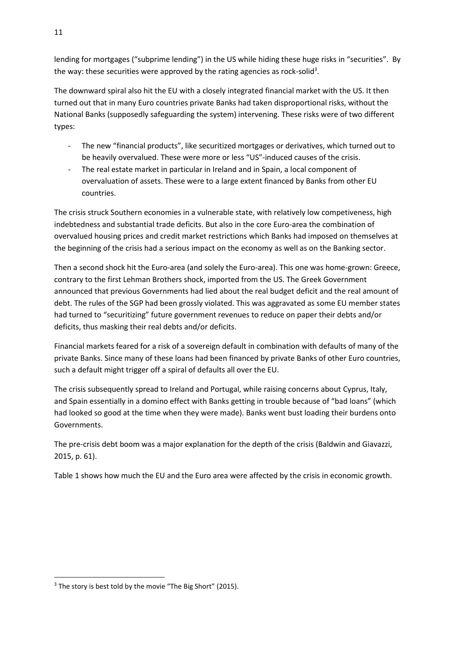lending for mortgages ("subprime lending") in the US while hiding these huge risks in "securities". By the way: these securities were approved by the rating agencies as rock-solid<sup>3</sup>.

The downward spiral also hit the EU with a closely integrated financial market with the US. It then turned out that in many Euro countries private Banks had taken disproportional risks, without the National Banks (supposedly safeguarding the system) intervening. These risks were of two different types:

- The new "financial products", like securitized mortgages or derivatives, which turned out to be heavily overvalued. These were more or less "US"-induced causes of the crisis.
- The real estate market in particular in Ireland and in Spain, a local component of overvaluation of assets. These were to a large extent financed by Banks from other EU countries.

The crisis struck Southern economies in a vulnerable state, with relatively low competiveness, high indebtedness and substantial trade deficits. But also in the core Euro-area the combination of overvalued housing prices and credit market restrictions which Banks had imposed on themselves at the beginning of the crisis had a serious impact on the economy as well as on the Banking sector.

Then a second shock hit the Euro-area (and solely the Euro-area). This one was home-grown: Greece, contrary to the first Lehman Brothers shock, imported from the US. The Greek Government announced that previous Governments had lied about the real budget deficit and the real amount of debt. The rules of the SGP had been grossly violated. This was aggravated as some EU member states had turned to "securitizing" future government revenues to reduce on paper their debts and/or deficits, thus masking their real debts and/or deficits.

Financial markets feared for a risk of a sovereign default in combination with defaults of many of the private Banks. Since many of these loans had been financed by private Banks of other Euro countries, such a default might trigger off a spiral of defaults all over the EU.

The crisis subsequently spread to Ireland and Portugal, while raising concerns about Cyprus, Italy, and Spain essentially in a domino effect with Banks getting in trouble because of "bad loans" (which had looked so good at the time when they were made). Banks went bust loading their burdens onto Governments.

The pre-crisis debt boom was a major explanation for the depth of the crisis (Baldwin and Giavazzi, 2015, p. 61).

Table 1 shows how much the EU and the Euro area were affected by the crisis in economic growth.

**<sup>.</sup>** <sup>3</sup> The story is best told by the movie "The Big Short" (2015).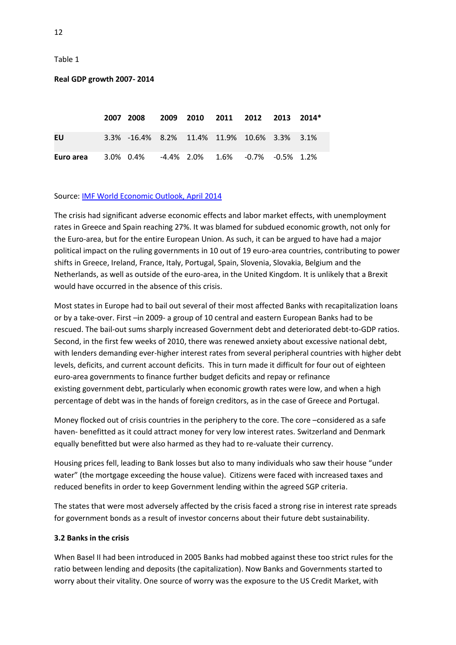Table 1

#### **Real GDP growth 2007- 2014**

|           | 2007 2008 2009 2010 2011 2012 2013 2014*      |  |  |  |
|-----------|-----------------------------------------------|--|--|--|
| EU        | 3.3% -16.4% 8.2% 11.4% 11.9% 10.6% 3.3% 3.1%  |  |  |  |
| Euro area | $3.0\%$ 0.4% -4.4% 2.0% 1.6% -0.7% -0.5% 1.2% |  |  |  |

#### Source: [IMF World Economic Outlook, April 2014](https://www.gfmag.com/global-data/sources/source-for-country-pages)

The crisis had significant adverse economic effects and labor market effects, with unemployment rates in Greece and Spain reaching 27%. It was blamed for subdued economic growth, not only for the Euro-area, but for the entire European Union. As such, it can be argued to have had a major political impact on the ruling governments in 10 out of 19 euro-area countries, contributing to power shifts in Greece, Ireland, France, Italy, Portugal, Spain, Slovenia, Slovakia, Belgium and the Netherlands, as well as outside of the euro-area, in the United Kingdom. It is unlikely that a Brexit would have occurred in the absence of this crisis.

Most states in Europe had to bail out several of their most affected Banks with recapitalization loans or by a take-over. First –in 2009- a group of 10 central and eastern European Banks had to be rescued. The bail-out sums sharply increased Government debt and deteriorated [debt-to-GDP ratios.](https://en.wikipedia.org/wiki/Debt-to-GDP_ratio) Second, in the first few weeks of 2010, there was renewed anxiety about excessive national debt, with lenders demanding ever-higher interest rates from several peripheral countries with higher debt levels, deficits, and current account deficits. This in turn made it difficult for four out of eighteen euro-area governments to finance further budget deficits and repay or refinance existing government debt, particularly when economic growth rates were low, and when a high percentage of debt was in the hands of foreign creditors, as in the case of Greece and Portugal.

Money flocked out of crisis countries in the periphery to the core. The core –considered as a safe haven- benefitted as it could attract money for very low interest rates. Switzerland and Denmark equally benefitted but were also harmed as they had to re-valuate their currency.

Housing prices fell, leading to Bank losses but also to many individuals who saw their house "under water" (the mortgage exceeding the house value). Citizens were faced with increased taxes and reduced benefits in order to keep Government lending within the agreed SGP criteria.

The states that were most adversely affected by the crisis faced a strong rise in interest rate spreads for government bonds as a result of investor concerns about their future debt sustainability.

#### **3.2 Banks in the crisis**

When Basel II had been introduced in 2005 Banks had mobbed against these too strict rules for the ratio between lending and deposits (the capitalization). Now Banks and Governments started to worry about their vitality. One source of worry was the exposure to the US Credit Market, with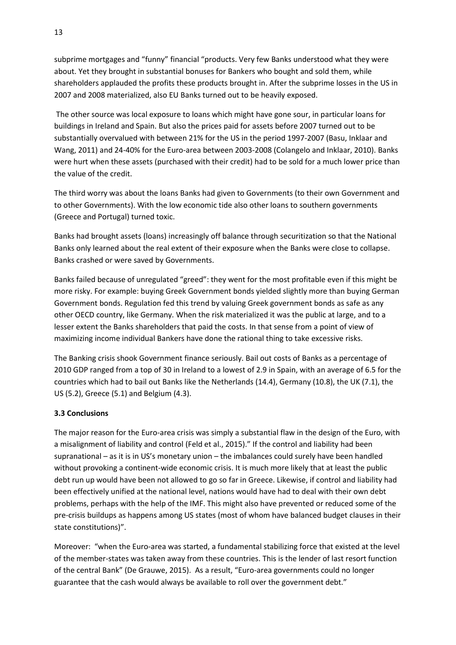subprime mortgages and "funny" financial "products. Very few Banks understood what they were about. Yet they brought in substantial bonuses for Bankers who bought and sold them, while shareholders applauded the profits these products brought in. After the subprime losses in the US in 2007 and 2008 materialized, also EU Banks turned out to be heavily exposed.

The other source was local exposure to loans which might have gone sour, in particular loans for buildings in Ireland and Spain. But also the prices paid for assets before 2007 turned out to be substantially overvalued with between 21% for the US in the period 1997-2007 (Basu, Inklaar and Wang, 2011) and 24-40% for the Euro-area between 2003-2008 (Colangelo and Inklaar, 2010). Banks were hurt when these assets (purchased with their credit) had to be sold for a much lower price than the value of the credit.

The third worry was about the loans Banks had given to Governments (to their own Government and to other Governments). With the low economic tide also other loans to southern governments (Greece and Portugal) turned toxic.

Banks had brought assets (loans) increasingly off balance through securitization so that the National Banks only learned about the real extent of their exposure when the Banks were close to collapse. Banks crashed or were saved by Governments.

Banks failed because of unregulated "greed": they went for the most profitable even if this might be more risky. For example: buying Greek Government bonds yielded slightly more than buying German Government bonds. Regulation fed this trend by valuing Greek government bonds as safe as any other OECD country, like Germany. When the risk materialized it was the public at large, and to a lesser extent the Banks shareholders that paid the costs. In that sense from a point of view of maximizing income individual Bankers have done the rational thing to take excessive risks.

The Banking crisis shook Government finance seriously. Bail out costs of Banks as a percentage of 2010 GDP ranged from a top of 30 in Ireland to a lowest of 2.9 in Spain, with an average of 6.5 for the countries which had to bail out Banks like the Netherlands (14.4), Germany (10.8), the UK (7.1), the US (5.2), Greece (5.1) and Belgium (4.3).

#### **3.3 Conclusions**

The major reason for the Euro-area crisis was simply a substantial flaw in the design of the Euro, with a misalignment of liability and control (Feld et al., 2015)." If the control and liability had been supranational – as it is in US's monetary union – the imbalances could surely have been handled without provoking a continent-wide economic crisis. It is much more likely that at least the public debt run up would have been not allowed to go so far in Greece. Likewise, if control and liability had been effectively unified at the national level, nations would have had to deal with their own debt problems, perhaps with the help of the IMF. This might also have prevented or reduced some of the pre-crisis buildups as happens among US states (most of whom have balanced budget clauses in their state constitutions)".

Moreover: "when the Euro-area was started, a fundamental stabilizing force that existed at the level of the member-states was taken away from these countries. This is the lender of last resort function of the central Bank" (De Grauwe, 2015). As a result, "Euro-area governments could no longer guarantee that the cash would always be available to roll over the government debt."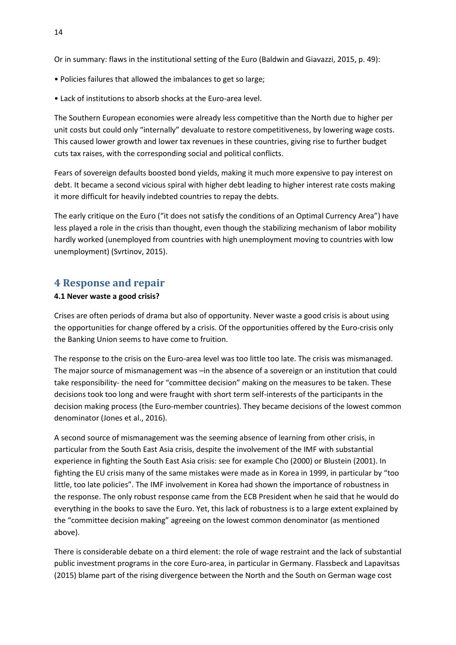Or in summary: flaws in the institutional setting of the Euro (Baldwin and Giavazzi, 2015, p. 49):

- Policies failures that allowed the imbalances to get so large;
- Lack of institutions to absorb shocks at the Euro-area level.

The Southern European economies were already less competitive than the North due to higher per unit costs but could only "internally" devaluate to restore competitiveness, by lowering wage costs. This caused lower growth and lower tax revenues in these countries, giving rise to further budget cuts tax raises, with the corresponding social and political conflicts.

Fears of sovereign defaults boosted bond yields, making it much more expensive to pay interest on debt. It became a second vicious spiral with higher debt leading to higher interest rate costs making it more difficult for heavily indebted countries to repay the debts.

The early critique on the Euro ("it does not satisfy the conditions of an Optimal Currency Area") have less played a role in the crisis than thought, even though the stabilizing mechanism of labor mobility hardly worked (unemployed from countries with high unemployment moving to countries with low unemployment) (Svrtinov, 2015).

## **4 Response and repair**

#### **4.1 Never waste a good crisis?**

Crises are often periods of drama but also of opportunity. Never waste a good crisis is about using the opportunities for change offered by a crisis. Of the opportunities offered by the Euro-crisis only the Banking Union seems to have come to fruition.

The response to the crisis on the Euro-area level was too little too late. The crisis was mismanaged. The major source of mismanagement was –in the absence of a sovereign or an institution that could take responsibility- the need for "committee decision" making on the measures to be taken. These decisions took too long and were fraught with short term self-interests of the participants in the decision making process (the Euro-member countries). They became decisions of the lowest common denominator (Jones et al., 2016).

A second source of mismanagement was the seeming absence of learning from other crisis, in particular from the South East Asia crisis, despite the involvement of the IMF with substantial experience in fighting the South East Asia crisis: see for example Cho (2000) or Blustein (2001). In fighting the EU crisis many of the same mistakes were made as in Korea in 1999, in particular by "too little, too late policies". The IMF involvement in Korea had shown the importance of robustness in the response. The only robust response came from the ECB President when he said that he would do everything in the books to save the Euro. Yet, this lack of robustness is to a large extent explained by the "committee decision making" agreeing on the lowest common denominator (as mentioned above).

There is considerable debate on a third element: the role of wage restraint and the lack of substantial public investment programs in the core Euro-area, in particular in Germany. Flassbeck and Lapavitsas (2015) blame part of the rising divergence between the North and the South on German wage cost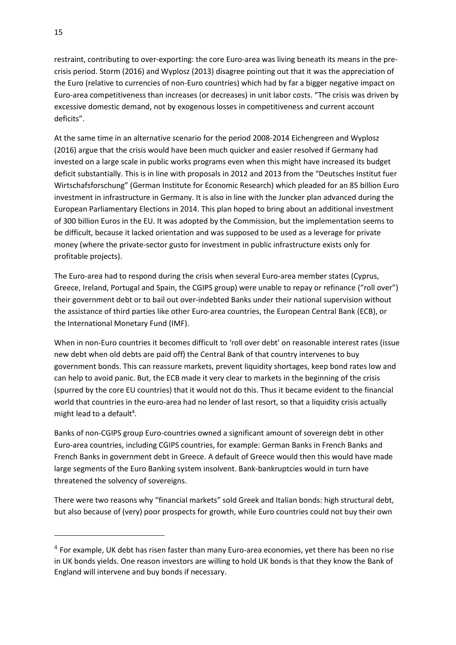restraint, contributing to over-exporting: the core Euro-area was living beneath its means in the precrisis period. Storm (2016) and Wyplosz (2013) disagree pointing out that it was the appreciation of the Euro (relative to currencies of non-Euro countries) which had by far a bigger negative impact on Euro-area competitiveness than increases (or decreases) in unit labor costs. "The crisis was driven by excessive domestic demand, not by exogenous losses in competitiveness and current account deficits".

At the same time in an alternative scenario for the period 2008-2014 Eichengreen and Wyplosz (2016) argue that the crisis would have been much quicker and easier resolved if Germany had invested on a large scale in public works programs even when this might have increased its budget deficit substantially. This is in line with proposals in 2012 and 2013 from the "Deutsches Institut fuer Wirtschafsforschung" (German Institute for Economic Research) which pleaded for an 85 billion Euro investment in infrastructure in Germany. It is also in line with the Juncker plan advanced during the European Parliamentary Elections in 2014. This plan hoped to bring about an additional investment of 300 billion Euros in the EU. It was adopted by the Commission, but the implementation seems to be difficult, because it lacked orientation and was supposed to be used as a leverage for private money (where the private-sector gusto for investment in public infrastructure exists only for profitable projects).

The Euro-area had to respond during the crisis when several Euro-area member states (Cyprus, Greece, Ireland, Portugal and Spain, the CGIPS group) were unable to repay or refinance ("roll over") their [government debt](https://en.wikipedia.org/wiki/Government_debt) or to bail out over-indebted Banks under their national supervision without the assistance of third parties like other [Euro-area countries,](https://en.wikipedia.org/wiki/Eurozone_countries) the [European Central Bank](https://en.wikipedia.org/wiki/European_Central_Bank) (ECB), or the [International Monetary Fund](https://en.wikipedia.org/wiki/International_Monetary_Fund) (IMF).

When in non-Euro countries it becomes difficult to 'roll over debt' on reasonable interest rates (issue new debt when old debts are paid off) the Central Bank of that country intervenes to buy government bonds. This can reassure markets, prevent liquidity shortages, keep bond rates low and can help to avoid panic. But, the ECB made it very clear to markets in the beginning of the crisis (spurred by the core EU countries) that it would not do this. Thus it became evident to the financial world that countries in the euro-area had no lender of last resort, so that a liquidity crisis actually might lead to a default<sup>4</sup>.

Banks of non-CGIPS group Euro-countries owned a significant amount of sovereign debt in other Euro-area countries, including CGIPS countries, for example: German Banks in French Banks and French Banks in government debt in Greece. A default of Greece would then this would have made large segments of the Euro Banking system insolvent. Bank-bankruptcies would in turn have threatened the solvency of sovereigns.

There were two reasons why "financial markets" sold Greek and Italian bonds: high structural debt, but also because of (very) poor prospects for growth, while Euro countries could not buy their own

1

 $<sup>4</sup>$  For example, UK debt has risen faster than many Euro-area economies, yet there has been no rise</sup> in UK bonds yields. One reason investors are willing to hold UK bonds is that they know the Bank of England will intervene and buy bonds if necessary.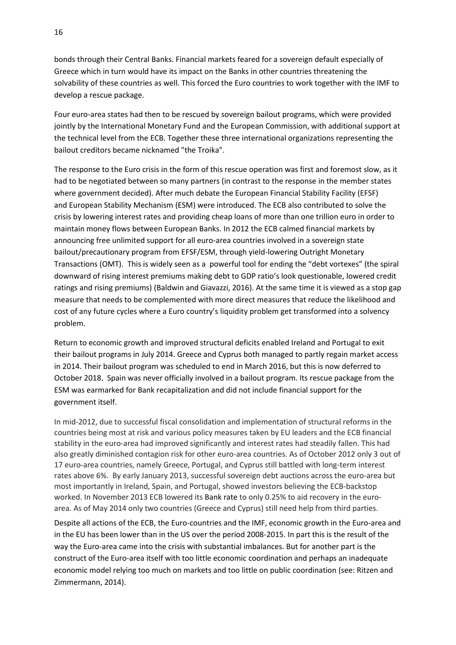bonds through their Central Banks. Financial markets feared for a sovereign default especially of Greece which in turn would have its impact on the Banks in other countries threatening the solvability of these countries as well. This forced the Euro countries to work together with the IMF to develop a rescue package.

Four euro-area states had then to be rescued by sovereign bailout programs, which were provided jointly by the [International Monetary Fund](https://en.wikipedia.org/wiki/International_Monetary_Fund) and the European [Commission,](https://en.wikipedia.org/wiki/European_Commission) with additional support at the technical level from the [ECB.](https://en.wikipedia.org/wiki/European_Central_Bank) Together these three international organizations representing the bailout creditors became nicknamed "the [Troika"](https://en.wikipedia.org/wiki/European_Troika).

The response to the Euro crisis in the form of this rescue operation was first and foremost slow, as it had to be negotiated between so many partners (in contrast to the response in the member states where government decided). After much debate the [European Financial Stability Facility](https://en.wikipedia.org/wiki/European_Financial_Stability_Facility) (EFSF) and [European Stability Mechanism](https://en.wikipedia.org/wiki/European_Stability_Mechanism) (ESM) were introduced. The ECB also contributed to solve the crisis by lowering [interest rates](https://en.wikipedia.org/wiki/Interest_rates) and providing cheap loans of more than one trillion euro in order to maintain money flows between European Banks. In 2012 the ECB calmed financial markets by announcing free unlimited support for all euro-area countries involved in a sovereign state bailout/precautionary program from EFSF/ESM, through yield-lowering [Outright Monetary](https://en.wikipedia.org/wiki/Outright_Monetary_Transactions)  [Transactions](https://en.wikipedia.org/wiki/Outright_Monetary_Transactions) (OMT). This is widely seen as a powerful tool for ending the "debt vortexes" (the spiral downward of rising interest premiums making debt to GDP ratio's look questionable, lowered credit ratings and rising premiums) (Baldwin and Giavazzi, 2016). At the same time it is viewed as a stop gap measure that needs to be complemented with more direct measures that reduce the likelihood and cost of any future cycles where a Euro country's liquidity problem get transformed into a solvency problem.

Return to economic growth and improved structural deficits enabled Ireland and Portugal to exit their bailout programs in July 2014. Greece and Cyprus both managed to partly regain market access in 2014. Their bailout program was scheduled to end in March 2016, but this is now deferred to October 2018. Spain was never officially involved in a bailout program. Its rescue package from the ESM was earmarked for Bank recapitalization and did not include financial support for the government itself.

In mid-2012, due to successful fiscal consolidation and implementation of structural reforms in the countries being most at risk and various policy measures taken by EU leaders and the ECB financial stability in the euro-area had improved significantly and interest rates had steadily fallen. This had also greatly diminished contagion risk for other euro-area countries. As of October 2012 only 3 out of 17 euro-area countries, namely Greece, Portugal, and Cyprus still battled with long-term interest rates above 6%. By early January 2013, successful sovereign debt auctions across the euro-area but most importantly in Ireland, Spain, and Portugal, showed investors believing the ECB-backstop worked. In November 2013 ECB lowered its [Bank](https://en.wikipedia.org/wiki/Bank_rate) rate to only 0.25% to aid recovery in the euroarea. As of May 2014 only two countries (Greece and Cyprus) still need help from third parties.

Despite all actions of the ECB, the Euro-countries and the IMF, economic growth in the Euro-area and in the EU has been lower than in the US over the period 2008-2015. In part this is the result of the way the Euro-area came into the crisis with substantial imbalances. But for another part is the construct of the Euro-area itself with too little economic coordination and perhaps an inadequate economic model relying too much on markets and too little on public coordination (see: Ritzen and Zimmermann, 2014).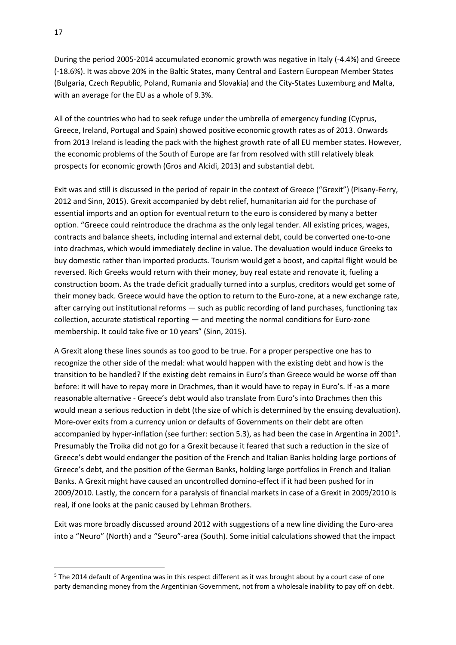During the period 2005‐2014 accumulated economic growth was negative in Italy (‐4.4%) and Greece (‐18.6%). It was above 20% in the Baltic States, many Central and Eastern European Member States (Bulgaria, Czech Republic, Poland, Rumania and Slovakia) and the City‐States Luxemburg and Malta, with an average for the EU as a whole of 9.3%.

All of the countries who had to seek refuge under the umbrella of emergency funding (Cyprus, Greece, Ireland, Portugal and Spain) showed positive economic growth rates as of 2013. Onwards from 2013 Ireland is leading the pack with the highest growth rate of all EU member states. However, the economic problems of the South of Europe are far from resolved with still relatively bleak prospects for economic growth (Gros and Alcidi, 2013) and substantial debt.

Exit was and still is discussed in the period of repair in the context of Greece ("Grexit") (Pisany-Ferry, 2012 and Sinn, 2015). Grexit accompanied by debt relief, humanitarian aid for the purchase of essential imports and an option for eventual return to the euro is considered by many a better option. "Greece could reintroduce the drachma as the only legal tender. All existing prices, wages, contracts and balance sheets, including internal and external debt, could be converted one-to-one into drachmas, which would immediately decline in value. The devaluation would induce Greeks to buy domestic rather than imported products. Tourism would get a boost, and capital flight would be reversed. Rich Greeks would return with their money, buy real estate and renovate it, fueling a construction boom. As the trade deficit gradually turned into a surplus, creditors would get some of their money back. Greece would have the option to return to the Euro-zone, at a new exchange rate, after carrying out institutional reforms — such as public recording of land purchases, functioning tax collection, accurate statistical reporting — and meeting the normal conditions for Euro-zone membership. It could take five or 10 years" (Sinn, 2015).

A Grexit along these lines sounds as too good to be true. For a proper perspective one has to recognize the other side of the medal: what would happen with the existing debt and how is the transition to be handled? If the existing debt remains in Euro's than Greece would be worse off than before: it will have to repay more in Drachmes, than it would have to repay in Euro's. If -as a more reasonable alternative - Greece's debt would also translate from Euro's into Drachmes then this would mean a serious reduction in debt (the size of which is determined by the ensuing devaluation). More-over exits from a currency union or defaults of Governments on their debt are often accompanied by hyper-inflation (see further: section 5.3), as had been the case in Argentina in 2001<sup>5</sup>. Presumably the Troika did not go for a Grexit because it feared that such a reduction in the size of Greece's debt would endanger the position of the French and Italian Banks holding large portions of Greece's debt, and the position of the German Banks, holding large portfolios in French and Italian Banks. A Grexit might have caused an uncontrolled domino-effect if it had been pushed for in 2009/2010. Lastly, the concern for a paralysis of financial markets in case of a Grexit in 2009/2010 is real, if one looks at the panic caused by Lehman Brothers.

Exit was more broadly discussed around 2012 with suggestions of a new line dividing the Euro-area into a "Neuro" (North) and a "Seuro"-area (South). Some initial calculations showed that the impact

1

<sup>5</sup> The 2014 default of Argentina was in this respect different as it was brought about by a court case of one party demanding money from the Argentinian Government, not from a wholesale inability to pay off on debt.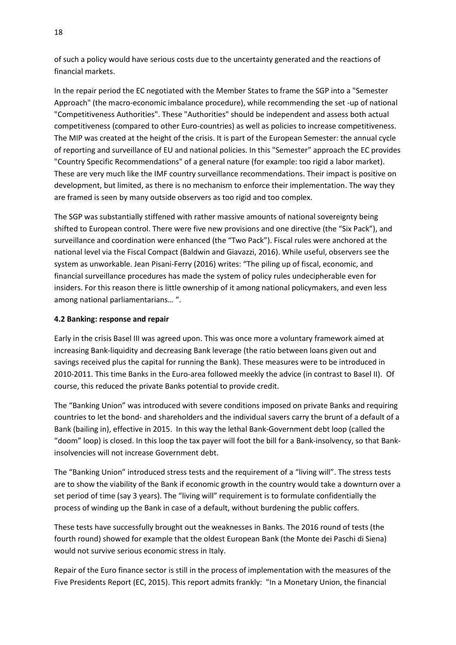of such a policy would have serious costs due to the uncertainty generated and the reactions of financial markets.

In the repair period the EC negotiated with the Member States to frame the SGP into a "Semester Approach" (the macro-economic imbalance procedure), while recommending the set -up of national "Competitiveness Authorities". These "Authorities" should be independent and assess both actual competitiveness (compared to other Euro-countries) as well as policies to increase competitiveness. The MIP was created at the height of the crisis. It is part of the European Semester: the annual cycle of reporting and surveillance of EU and national policies. In this "Semester" approach the EC provides "Country Specific Recommendations" of a general nature (for example: too rigid a labor market). These are very much like the IMF country surveillance recommendations. Their impact is positive on development, but limited, as there is no mechanism to enforce their implementation. The way they are framed is seen by many outside observers as too rigid and too complex.

The SGP was substantially stiffened with rather massive amounts of national sovereignty being shifted to European control. There were five new provisions and one directive (the "Six Pack"), and surveillance and coordination were enhanced (the "Two Pack"). Fiscal rules were anchored at the national level via the Fiscal Compact (Baldwin and Giavazzi, 2016). While useful, observers see the system as unworkable. Jean Pisani-Ferry (2016) writes: "The piling up of fiscal, economic, and financial surveillance procedures has made the system of policy rules undecipherable even for insiders. For this reason there is little ownership of it among national policymakers, and even less among national parliamentarians… ".

#### **4.2 Banking: response and repair**

Early in the crisis Basel III was agreed upon. This was once more a voluntary framework aimed at increasing Bank-liquidity and decreasing Bank leverage (the ratio between loans given out and savings received plus the capital for running the Bank). These measures were to be introduced in 2010-2011. This time Banks in the Euro-area followed meekly the advice (in contrast to Basel II). Of course, this reduced the private Banks potential to provide credit.

The "Banking Union" was introduced with severe conditions imposed on private Banks and requiring countries to let the bond- and shareholders and the individual savers carry the brunt of a default of a Bank (bailing in), effective in 2015. In this way the lethal Bank-Government debt loop (called the "doom" loop) is closed. In this loop the tax payer will foot the bill for a Bank-insolvency, so that Bankinsolvencies will not increase Government debt.

The "Banking Union" introduced stress tests and the requirement of a "living will". The stress tests are to show the viability of the Bank if economic growth in the country would take a downturn over a set period of time (say 3 years). The "living will" requirement is to formulate confidentially the process of winding up the Bank in case of a default, without burdening the public coffers.

These tests have successfully brought out the weaknesses in Banks. The 2016 round of tests (the fourth round) showed for example that the oldest European Bank (the Monte dei Paschi di Siena) would not survive serious economic stress in Italy.

Repair of the Euro finance sector is still in the process of implementation with the measures of the Five Presidents Report (EC, 2015). This report admits frankly: "In a Monetary Union, the financial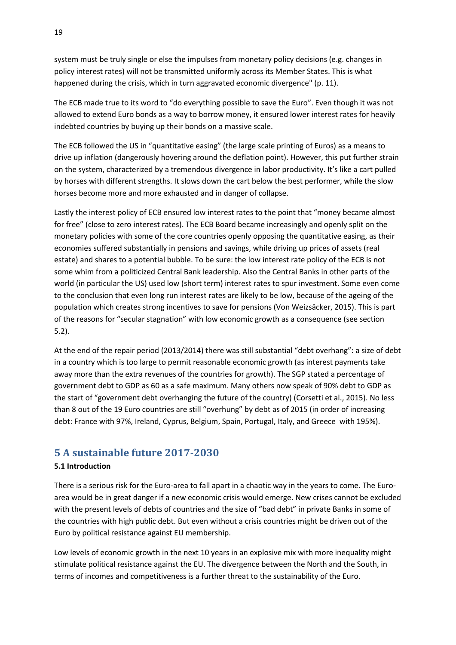system must be truly single or else the impulses from monetary policy decisions (e.g. changes in policy interest rates) will not be transmitted uniformly across its Member States. This is what happened during the crisis, which in turn aggravated economic divergence" (p. 11).

The ECB made true to its word to "do everything possible to save the Euro". Even though it was not allowed to extend Euro bonds as a way to borrow money, it ensured lower interest rates for heavily indebted countries by buying up their bonds on a massive scale.

The ECB followed the US in "quantitative easing" (the large scale printing of Euros) as a means to drive up inflation (dangerously hovering around the deflation point). However, this put further strain on the system, characterized by a tremendous divergence in labor productivity. It's like a cart pulled by horses with different strengths. It slows down the cart below the best performer, while the slow horses become more and more exhausted and in danger of collapse.

Lastly the interest policy of ECB ensured low interest rates to the point that "money became almost for free" (close to zero interest rates). The ECB Board became increasingly and openly split on the monetary policies with some of the core countries openly opposing the quantitative easing, as their economies suffered substantially in pensions and savings, while driving up prices of assets (real estate) and shares to a potential bubble. To be sure: the low interest rate policy of the ECB is not some whim from a politicized Central Bank leadership. Also the Central Banks in other parts of the world (in particular the US) used low (short term) interest rates to spur investment. Some even come to the conclusion that even long run interest rates are likely to be low, because of the ageing of the population which creates strong incentives to save for pensions (Von Weizsäcker, 2015). This is part of the reasons for "secular stagnation" with low economic growth as a consequence (see section 5.2).

At the end of the repair period (2013/2014) there was still substantial "debt overhang": a size of debt in a country which is too large to permit reasonable economic growth (as interest payments take away more than the extra revenues of the countries for growth). The SGP stated a percentage of government debt to GDP as 60 as a safe maximum. Many others now speak of 90% debt to GDP as the start of "government debt overhanging the future of the country) (Corsetti et al., 2015). No less than 8 out of the 19 Euro countries are still "overhung" by debt as of 2015 (in order of increasing debt: France with 97%, Ireland, Cyprus, Belgium, Spain, Portugal, Italy, and Greece with 195%).

## **5 A sustainable future 2017-2030**

### **5.1 Introduction**

There is a serious risk for the Euro-area to fall apart in a chaotic way in the years to come. The Euroarea would be in great danger if a new economic crisis would emerge. New crises cannot be excluded with the present levels of debts of countries and the size of "bad debt" in private Banks in some of the countries with high public debt. But even without a crisis countries might be driven out of the Euro by political resistance against EU membership.

Low levels of economic growth in the next 10 years in an explosive mix with more inequality might stimulate political resistance against the EU. The divergence between the North and the South, in terms of incomes and competitiveness is a further threat to the sustainability of the Euro.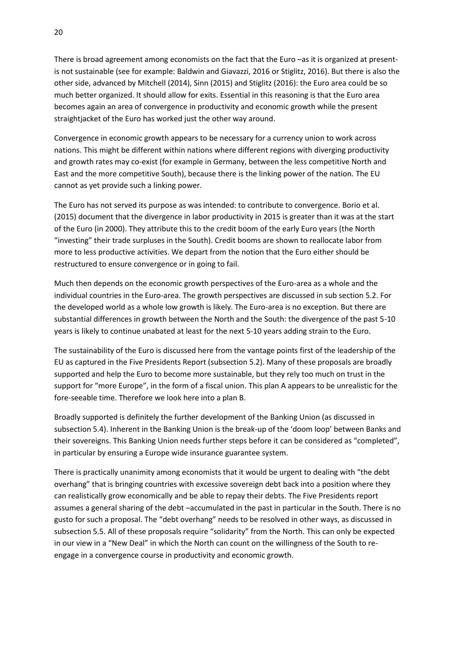There is broad agreement among economists on the fact that the Euro –as it is organized at presentis not sustainable (see for example: Baldwin and Giavazzi, 2016 or Stiglitz, 2016). But there is also the other side, advanced by Mitchell (2014), Sinn (2015) and Stiglitz (2016): the Euro area could be so much better organized. It should allow for exits. Essential in this reasoning is that the Euro area becomes again an area of convergence in productivity and economic growth while the present straightjacket of the Euro has worked just the other way around.

Convergence in economic growth appears to be necessary for a currency union to work across nations. This might be different within nations where different regions with diverging productivity and growth rates may co-exist (for example in Germany, between the less competitive North and East and the more competitive South), because there is the linking power of the nation. The EU cannot as yet provide such a linking power.

The Euro has not served its purpose as was intended: to contribute to convergence. Borio et al. (2015) document that the divergence in labor productivity in 2015 is greater than it was at the start of the Euro (in 2000). They attribute this to the credit boom of the early Euro years (the North "investing" their trade surpluses in the South). Credit booms are shown to reallocate labor from more to less productive activities. We depart from the notion that the Euro either should be restructured to ensure convergence or in going to fail.

Much then depends on the economic growth perspectives of the Euro-area as a whole and the individual countries in the Euro-area. The growth perspectives are discussed in sub section 5.2. For the developed world as a whole low growth is likely. The Euro-area is no exception. But there are substantial differences in growth between the North and the South: the divergence of the past 5-10 years is likely to continue unabated at least for the next 5-10 years adding strain to the Euro.

The sustainability of the Euro is discussed here from the vantage points first of the leadership of the EU as captured in the Five Presidents Report (subsection 5.2). Many of these proposals are broadly supported and help the Euro to become more sustainable, but they rely too much on trust in the support for "more Europe", in the form of a fiscal union. This plan A appears to be unrealistic for the fore-seeable time. Therefore we look here into a plan B.

Broadly supported is definitely the further development of the Banking Union (as discussed in subsection 5.4). Inherent in the Banking Union is the break-up of the 'doom loop' between Banks and their sovereigns. This Banking Union needs further steps before it can be considered as "completed", in particular by ensuring a Europe wide insurance guarantee system.

There is practically unanimity among economists that it would be urgent to dealing with "the debt overhang" that is bringing countries with excessive sovereign debt back into a position where they can realistically grow economically and be able to repay their debts. The Five Presidents report assumes a general sharing of the debt –accumulated in the past in particular in the South. There is no gusto for such a proposal. The "debt overhang" needs to be resolved in other ways, as discussed in subsection 5.5. All of these proposals require "solidarity" from the North. This can only be expected in our view in a "New Deal" in which the North can count on the willingness of the South to reengage in a convergence course in productivity and economic growth.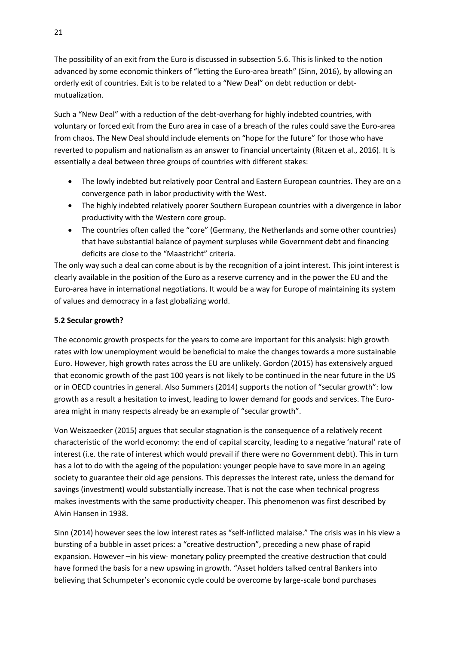The possibility of an exit from the Euro is discussed in subsection 5.6. This is linked to the notion advanced by some economic thinkers of "letting the Euro-area breath" (Sinn, 2016), by allowing an orderly exit of countries. Exit is to be related to a "New Deal" on debt reduction or debtmutualization.

Such a "New Deal" with a reduction of the debt-overhang for highly indebted countries, with voluntary or forced exit from the Euro area in case of a breach of the rules could save the Euro-area from chaos. The New Deal should include elements on "hope for the future" for those who have reverted to populism and nationalism as an answer to financial uncertainty (Ritzen et al., 2016). It is essentially a deal between three groups of countries with different stakes:

- The lowly indebted but relatively poor Central and Eastern European countries. They are on a convergence path in labor productivity with the West.
- The highly indebted relatively poorer Southern European countries with a divergence in labor productivity with the Western core group.
- The countries often called the "core" (Germany, the Netherlands and some other countries) that have substantial balance of payment surpluses while Government debt and financing deficits are close to the "Maastricht" criteria.

The only way such a deal can come about is by the recognition of a joint interest. This joint interest is clearly available in the position of the Euro as a reserve currency and in the power the EU and the Euro-area have in international negotiations. It would be a way for Europe of maintaining its system of values and democracy in a fast globalizing world.

## **5.2 Secular growth?**

The economic growth prospects for the years to come are important for this analysis: high growth rates with low unemployment would be beneficial to make the changes towards a more sustainable Euro. However, high growth rates across the EU are unlikely. Gordon (2015) has extensively argued that economic growth of the past 100 years is not likely to be continued in the near future in the US or in OECD countries in general. Also Summers (2014) supports the notion of "secular growth": low growth as a result a hesitation to invest, leading to lower demand for goods and services. The Euroarea might in many respects already be an example of "secular growth".

Von Weiszaecker (2015) argues that secular stagnation is the consequence of a relatively recent characteristic of the world economy: the end of capital scarcity, leading to a negative 'natural' rate of interest (i.e. the rate of interest which would prevail if there were no Government debt). This in turn has a lot to do with the ageing of the population: younger people have to save more in an ageing society to guarantee their old age pensions. This depresses the interest rate, unless the demand for savings (investment) would substantially increase. That is not the case when technical progress makes investments with the same productivity cheaper. This phenomenon was first described by Alvin Hansen in 1938.

Sinn (2014) however sees the low interest rates as "self-inflicted malaise." The crisis was in his view a bursting of a bubble in asset prices: a "creative destruction", preceding a new phase of rapid expansion. However –in his view- monetary policy preempted the creative destruction that could have formed the basis for a new upswing in growth. "Asset holders talked central Bankers into believing that Schumpeter's economic cycle could be overcome by large-scale bond purchases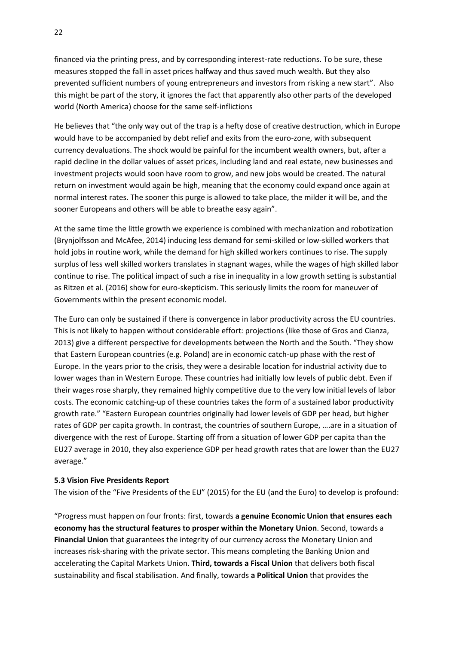financed via the printing press, and by corresponding interest-rate reductions. To be sure, these measures stopped the fall in asset prices halfway and thus saved much wealth. But they also prevented sufficient numbers of young entrepreneurs and investors from risking a new start". Also this might be part of the story, it ignores the fact that apparently also other parts of the developed world (North America) choose for the same self-inflictions

He believes that "the only way out of the trap is a hefty dose of creative destruction, which in Europe would have to be accompanied by debt relief and exits from the euro-zone, with subsequent currency devaluations. The shock would be painful for the incumbent wealth owners, but, after a rapid decline in the dollar values of asset prices, including land and real estate, new businesses and investment projects would soon have room to grow, and new jobs would be created. The natural return on investment would again be high, meaning that the economy could expand once again at normal interest rates. The sooner this purge is allowed to take place, the milder it will be, and the sooner Europeans and others will be able to breathe easy again".

At the same time the little growth we experience is combined with mechanization and robotization (Brynjolfsson and McAfee, 2014) inducing less demand for semi-skilled or low-skilled workers that hold jobs in routine work, while the demand for high skilled workers continues to rise. The supply surplus of less well skilled workers translates in stagnant wages, while the wages of high skilled labor continue to rise. The political impact of such a rise in inequality in a low growth setting is substantial as Ritzen et al. (2016) show for euro-skepticism. This seriously limits the room for maneuver of Governments within the present economic model.

The Euro can only be sustained if there is convergence in labor productivity across the EU countries. This is not likely to happen without considerable effort: projections (like those of Gros and Cianza, 2013) give a different perspective for developments between the North and the South. "They show that Eastern European countries (e.g. Poland) are in economic catch-up phase with the rest of Europe. In the years prior to the crisis, they were a desirable location for industrial activity due to lower wages than in Western Europe. These countries had initially low levels of public debt. Even if their wages rose sharply, they remained highly competitive due to the very low initial levels of labor costs. The economic catching-up of these countries takes the form of a sustained labor productivity growth rate." "Eastern European countries originally had lower levels of GDP per head, but higher rates of GDP per capita growth. In contrast, the countries of southern Europe, ….are in a situation of divergence with the rest of Europe. Starting off from a situation of lower GDP per capita than the EU27 average in 2010, they also experience GDP per head growth rates that are lower than the EU27 average."

#### **5.3 Vision Five Presidents Report**

The vision of the "Five Presidents of the EU" (2015) for the EU (and the Euro) to develop is profound:

"Progress must happen on four fronts: first, towards **a genuine Economic Union that ensures each economy has the structural features to prosper within the Monetary Union**. Second, towards a **Financial Union** that guarantees the integrity of our currency across the Monetary Union and increases risk-sharing with the private sector. This means completing the Banking Union and accelerating the Capital Markets Union. **Third, towards a Fiscal Union** that delivers both fiscal sustainability and fiscal stabilisation. And finally, towards **a Political Union** that provides the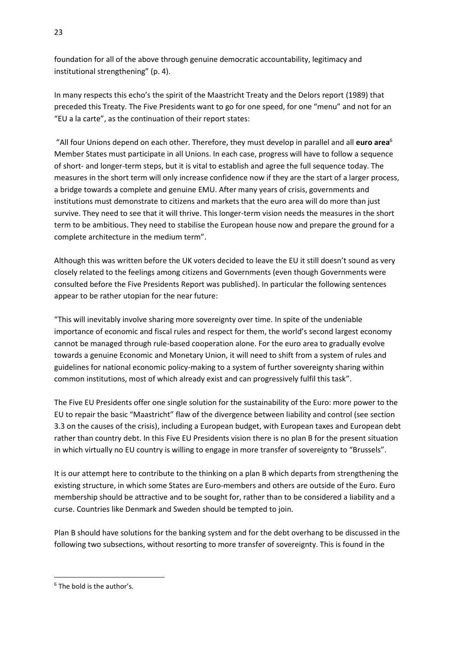foundation for all of the above through genuine democratic accountability, legitimacy and institutional strengthening" (p. 4).

In many respects this echo's the spirit of the Maastricht Treaty and the Delors report (1989) that preceded this Treaty. The Five Presidents want to go for one speed, for one "menu" and not for an "EU a la carte", as the continuation of their report states:

"All four Unions depend on each other. Therefore, they must develop in parallel and all **euro area**<sup>6</sup> Member States must participate in all Unions. In each case, progress will have to follow a sequence of short- and longer-term steps, but it is vital to establish and agree the full sequence today. The measures in the short term will only increase confidence now if they are the start of a larger process, a bridge towards a complete and genuine EMU. After many years of crisis, governments and institutions must demonstrate to citizens and markets that the euro area will do more than just survive. They need to see that it will thrive. This longer-term vision needs the measures in the short term to be ambitious. They need to stabilise the European house now and prepare the ground for a complete architecture in the medium term".

Although this was written before the UK voters decided to leave the EU it still doesn't sound as very closely related to the feelings among citizens and Governments (even though Governments were consulted before the Five Presidents Report was published). In particular the following sentences appear to be rather utopian for the near future:

"This will inevitably involve sharing more sovereignty over time. In spite of the undeniable importance of economic and fiscal rules and respect for them, the world's second largest economy cannot be managed through rule-based cooperation alone. For the euro area to gradually evolve towards a genuine Economic and Monetary Union, it will need to shift from a system of rules and guidelines for national economic policy-making to a system of further sovereignty sharing within common institutions, most of which already exist and can progressively fulfil this task".

The Five EU Presidents offer one single solution for the sustainability of the Euro: more power to the EU to repair the basic "Maastricht" flaw of the divergence between liability and control (see section 3.3 on the causes of the crisis), including a European budget, with European taxes and European debt rather than country debt. In this Five EU Presidents vision there is no plan B for the present situation in which virtually no EU country is willing to engage in more transfer of sovereignty to "Brussels".

It is our attempt here to contribute to the thinking on a plan B which departs from strengthening the existing structure, in which some States are Euro-members and others are outside of the Euro. Euro membership should be attractive and to be sought for, rather than to be considered a liability and a curse. Countries like Denmark and Sweden should be tempted to join.

Plan B should have solutions for the banking system and for the debt overhang to be discussed in the following two subsections, without resorting to more transfer of sovereignty. This is found in the

**.** 

<sup>6</sup> The bold is the author's.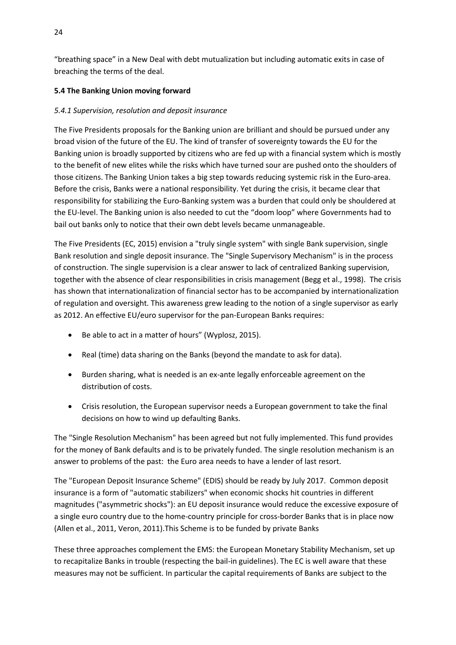"breathing space" in a New Deal with debt mutualization but including automatic exits in case of breaching the terms of the deal.

## **5.4 The Banking Union moving forward**

## *5.4.1 Supervision, resolution and deposit insurance*

The Five Presidents proposals for the Banking union are brilliant and should be pursued under any broad vision of the future of the EU. The kind of transfer of sovereignty towards the EU for the Banking union is broadly supported by citizens who are fed up with a financial system which is mostly to the benefit of new elites while the risks which have turned sour are pushed onto the shoulders of those citizens. The Banking Union takes a big step towards reducing systemic risk in the Euro-area. Before the crisis, Banks were a national responsibility. Yet during the crisis, it became clear that responsibility for stabilizing the Euro-Banking system was a burden that could only be shouldered at the EU-level. The Banking union is also needed to cut the "doom loop" where Governments had to bail out banks only to notice that their own debt levels became unmanageable.

The Five Presidents (EC, 2015) envision a "truly single system" with single Bank supervision, single Bank resolution and single deposit insurance. The "Single Supervisory Mechanism" is in the process of construction. The single supervision is a clear answer to lack of centralized Banking supervision, together with the absence of clear responsibilities in crisis management (Begg et al., 1998). The crisis has shown that internationalization of financial sector has to be accompanied by internationalization of regulation and oversight. This awareness grew leading to the notion of a single supervisor as early as 2012. An effective EU/euro supervisor for the pan-European Banks requires:

- Be able to act in a matter of hours" (Wyplosz, 2015).
- Real (time) data sharing on the Banks (beyond the mandate to ask for data).
- Burden sharing, what is needed is an ex-ante legally enforceable agreement on the distribution of costs.
- Crisis resolution, the European supervisor needs a European government to take the final decisions on how to wind up defaulting Banks.

The "Single Resolution Mechanism" has been agreed but not fully implemented. This fund provides for the money of Bank defaults and is to be privately funded. The single resolution mechanism is an answer to problems of the past: the Euro area needs to have a lender of last resort.

The "European Deposit Insurance Scheme" (EDIS) should be ready by July 2017. Common deposit insurance is a form of "automatic stabilizers" when economic shocks hit countries in different magnitudes ("asymmetric shocks"): an EU deposit insurance would reduce the excessive exposure of a single euro country due to the home-country principle for cross-border Banks that is in place now (Allen et al., 2011, Veron, 2011).This Scheme is to be funded by private Banks

These three approaches complement the EMS: the European Monetary Stability Mechanism, set up to recapitalize Banks in trouble (respecting the bail-in guidelines). The EC is well aware that these measures may not be sufficient. In particular the capital requirements of Banks are subject to the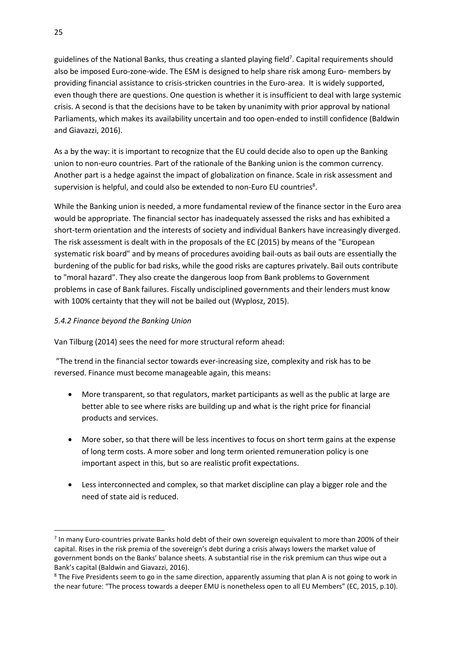guidelines of the National Banks, thus creating a slanted playing field<sup>7</sup>. Capital requirements should also be imposed Euro-zone-wide. The ESM is designed to help share risk among Euro- members by providing financial assistance to crisis-stricken countries in the Euro-area. It is widely supported, even though there are questions. One question is whether it is insufficient to deal with large systemic crisis. A second is that the decisions have to be taken by unanimity with prior approval by national Parliaments, which makes its availability uncertain and too open-ended to instill confidence (Baldwin and Giavazzi, 2016).

As a by the way: it is important to recognize that the EU could decide also to open up the Banking union to non-euro countries. Part of the rationale of the Banking union is the common currency. Another part is a hedge against the impact of globalization on finance. Scale in risk assessment and supervision is helpful, and could also be extended to non-Euro EU countries<sup>8</sup>.

While the Banking union is needed, a more fundamental review of the finance sector in the Euro area would be appropriate. The financial sector has inadequately assessed the risks and has exhibited a short-term orientation and the interests of society and individual Bankers have increasingly diverged. The risk assessment is dealt with in the proposals of the EC (2015) by means of the "European systematic risk board" and by means of procedures avoiding bail-outs as bail outs are essentially the burdening of the public for bad risks, while the good risks are captures privately. Bail outs contribute to "moral hazard". They also create the dangerous loop from Bank problems to Government problems in case of Bank failures. Fiscally undisciplined governments and their lenders must know with 100% certainty that they will not be bailed out (Wyplosz, 2015).

#### *5.4.2 Finance beyond the Banking Union*

Van Tilburg (2014) sees the need for more structural reform ahead:

"The trend in the financial sector towards ever-increasing size, complexity and risk has to be reversed. Finance must become manageable again, this means:

- More transparent, so that regulators, market participants as well as the public at large are better able to see where risks are building up and what is the right price for financial products and services.
- More sober, so that there will be less incentives to focus on short term gains at the expense of long term costs. A more sober and long term oriented remuneration policy is one important aspect in this, but so are realistic profit expectations.
- Less interconnected and complex, so that market discipline can play a bigger role and the need of state aid is reduced.

**.** 

<sup>&</sup>lt;sup>7</sup> In many Euro-countries private Banks hold debt of their own sovereign equivalent to more than 200% of their capital. Rises in the risk premia of the sovereign's debt during a crisis always lowers the market value of government bonds on the Banks' balance sheets. A substantial rise in the risk premium can thus wipe out a Bank's capital (Baldwin and Giavazzi, 2016).

<sup>&</sup>lt;sup>8</sup> The Five Presidents seem to go in the same direction, apparently assuming that plan A is not going to work in the near future: "The process towards a deeper EMU is nonetheless open to all EU Members" (EC, 2015, p.10).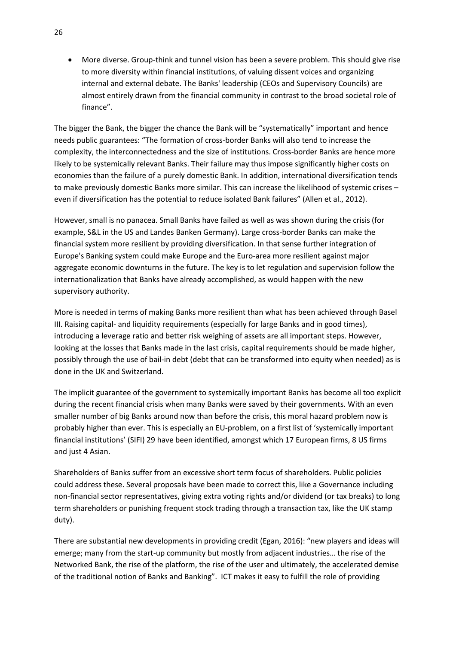More diverse. Group-think and tunnel vision has been a severe problem. This should give rise to more diversity within financial institutions, of valuing dissent voices and organizing internal and external debate. The Banks' leadership (CEOs and Supervisory Councils) are almost entirely drawn from the financial community in contrast to the broad societal role of finance".

The bigger the Bank, the bigger the chance the Bank will be "systematically" important and hence needs public guarantees: "The formation of cross-border Banks will also tend to increase the complexity, the interconnectedness and the size of institutions. Cross-border Banks are hence more likely to be systemically relevant Banks. Their failure may thus impose significantly higher costs on economies than the failure of a purely domestic Bank. In addition, international diversification tends to make previously domestic Banks more similar. This can increase the likelihood of systemic crises – even if diversification has the potential to reduce isolated Bank failures" (Allen et al., 2012).

However, small is no panacea. Small Banks have failed as well as was shown during the crisis (for example, S&L in the US and Landes Banken Germany). Large cross-border Banks can make the financial system more resilient by providing diversification. In that sense further integration of Europe's Banking system could make Europe and the Euro-area more resilient against major aggregate economic downturns in the future. The key is to let regulation and supervision follow the internationalization that Banks have already accomplished, as would happen with the new supervisory authority.

More is needed in terms of making Banks more resilient than what has been achieved through Basel III. Raising capital- and liquidity requirements (especially for large Banks and in good times), introducing a leverage ratio and better risk weighing of assets are all important steps. However, looking at the losses that Banks made in the last crisis, capital requirements should be made higher, possibly through the use of bail-in debt (debt that can be transformed into equity when needed) as is done in the UK and Switzerland.

The implicit guarantee of the government to systemically important Banks has become all too explicit during the recent financial crisis when many Banks were saved by their governments. With an even smaller number of big Banks around now than before the crisis, this moral hazard problem now is probably higher than ever. This is especially an EU-problem, on a first list of 'systemically important financial institutions' (SIFI) 29 have been identified, amongst which 17 European firms, 8 US firms and just 4 Asian.

Shareholders of Banks suffer from an excessive short term focus of shareholders. Public policies could address these. Several proposals have been made to correct this, like a Governance including non-financial sector representatives, giving extra voting rights and/or dividend (or tax breaks) to long term shareholders or punishing frequent stock trading through a transaction tax, like the UK stamp duty).

There are substantial new developments in providing credit (Egan, 2016): "new players and ideas will emerge; many from the start-up community but mostly from adjacent industries… the rise of the Networked Bank, the rise of the platform, the rise of the user and ultimately, the accelerated demise of the traditional notion of Banks and Banking". ICT makes it easy to fulfill the role of providing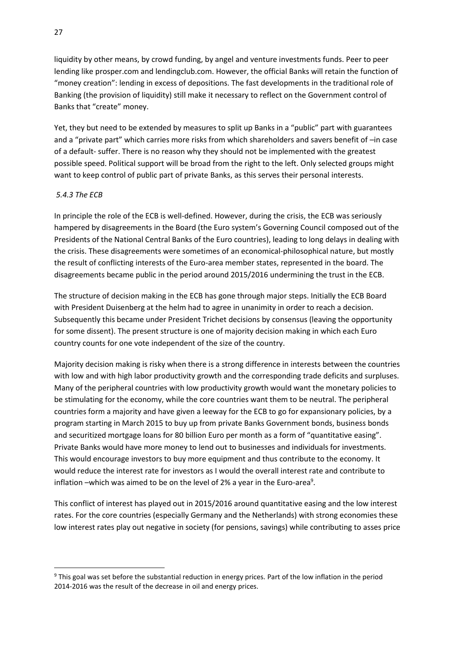liquidity by other means, by crowd funding, by angel and venture investments funds. Peer to peer lending like prosper.com and lendingclub.com. However, the official Banks will retain the function of "money creation": lending in excess of depositions. The fast developments in the traditional role of Banking (the provision of liquidity) still make it necessary to reflect on the Government control of Banks that "create" money.

Yet, they but need to be extended by measures to split up Banks in a "public" part with guarantees and a "private part" which carries more risks from which shareholders and savers benefit of –in case of a default- suffer. There is no reason why they should not be implemented with the greatest possible speed. Political support will be broad from the right to the left. Only selected groups might want to keep control of public part of private Banks, as this serves their personal interests.

#### *5.4.3 The ECB*

1

In principle the role of the ECB is well-defined. However, during the crisis, the ECB was seriously hampered by disagreements in the Board (the Euro system's Governing Council composed out of the Presidents of the National Central Banks of the Euro countries), leading to long delays in dealing with the crisis. These disagreements were sometimes of an economical-philosophical nature, but mostly the result of conflicting interests of the Euro-area member states, represented in the board. The disagreements became public in the period around 2015/2016 undermining the trust in the ECB.

The structure of decision making in the ECB has gone through major steps. Initially the ECB Board with President Duisenberg at the helm had to agree in unanimity in order to reach a decision. Subsequently this became under President Trichet decisions by consensus (leaving the opportunity for some dissent). The present structure is one of majority decision making in which each Euro country counts for one vote independent of the size of the country.

Majority decision making is risky when there is a strong difference in interests between the countries with low and with high labor productivity growth and the corresponding trade deficits and surpluses. Many of the peripheral countries with low productivity growth would want the monetary policies to be stimulating for the economy, while the core countries want them to be neutral. The peripheral countries form a majority and have given a leeway for the ECB to go for expansionary policies, by a program starting in March 2015 to buy up from private Banks Government bonds, business bonds and securitized mortgage loans for 80 billion Euro per month as a form of "quantitative easing". Private Banks would have more money to lend out to businesses and individuals for investments. This would encourage investors to buy more equipment and thus contribute to the economy. It would reduce the interest rate for investors as I would the overall interest rate and contribute to inflation –which was aimed to be on the level of 2% a year in the Euro-area<sup>9</sup>.

This conflict of interest has played out in 2015/2016 around quantitative easing and the low interest rates. For the core countries (especially Germany and the Netherlands) with strong economies these low interest rates play out negative in society (for pensions, savings) while contributing to asses price

<sup>9</sup> This goal was set before the substantial reduction in energy prices. Part of the low inflation in the period 2014-2016 was the result of the decrease in oil and energy prices.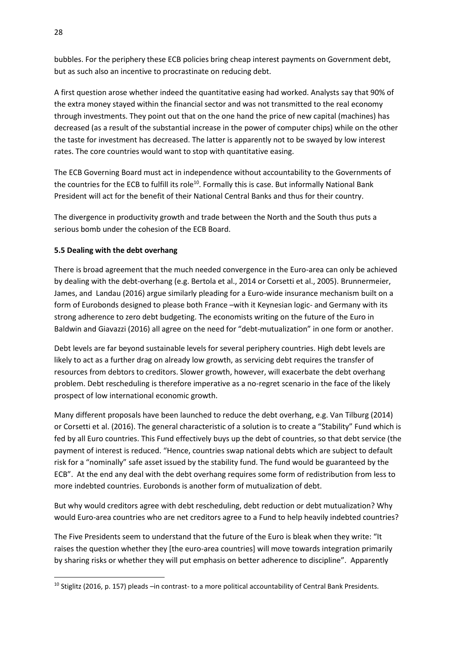bubbles. For the periphery these ECB policies bring cheap interest payments on Government debt, but as such also an incentive to procrastinate on reducing debt.

A first question arose whether indeed the quantitative easing had worked. Analysts say that 90% of the extra money stayed within the financial sector and was not transmitted to the real economy through investments. They point out that on the one hand the price of new capital (machines) has decreased (as a result of the substantial increase in the power of computer chips) while on the other the taste for investment has decreased. The latter is apparently not to be swayed by low interest rates. The core countries would want to stop with quantitative easing.

The ECB Governing Board must act in independence without accountability to the Governments of the countries for the ECB to fulfill its role<sup>10</sup>. Formally this is case. But informally National Bank President will act for the benefit of their National Central Banks and thus for their country.

The divergence in productivity growth and trade between the North and the South thus puts a serious bomb under the cohesion of the ECB Board.

## **5.5 Dealing with the debt overhang**

There is broad agreement that the much needed convergence in the Euro-area can only be achieved by dealing with the debt-overhang (e.g. Bertola et al., 2014 or Corsetti et al., 2005). Brunnermeier, James, and Landau (2016) argue similarly pleading for a Euro-wide insurance mechanism built on a form of Eurobonds designed to please both France –with it Keynesian logic- and Germany with its strong adherence to zero debt budgeting. The economists writing on the future of the Euro in Baldwin and Giavazzi (2016) all agree on the need for "debt-mutualization" in one form or another.

Debt levels are far beyond sustainable levels for several periphery countries. High debt levels are likely to act as a further drag on already low growth, as servicing debt requires the transfer of resources from debtors to creditors. Slower growth, however, will exacerbate the debt overhang problem. Debt rescheduling is therefore imperative as a no-regret scenario in the face of the likely prospect of low international economic growth.

Many different proposals have been launched to reduce the debt overhang, e.g. Van Tilburg (2014) or Corsetti et al. (2016). The general characteristic of a solution is to create a "Stability" Fund which is fed by all Euro countries. This Fund effectively buys up the debt of countries, so that debt service (the payment of interest is reduced. "Hence, countries swap national debts which are subject to default risk for a "nominally" safe asset issued by the stability fund. The fund would be guaranteed by the ECB". At the end any deal with the debt overhang requires some form of redistribution from less to more indebted countries. Eurobonds is another form of mutualization of debt.

But why would creditors agree with debt rescheduling, debt reduction or debt mutualization? Why would Euro-area countries who are net creditors agree to a Fund to help heavily indebted countries?

The Five Presidents seem to understand that the future of the Euro is bleak when they write: "It raises the question whether they [the euro-area countries] will move towards integration primarily by sharing risks or whether they will put emphasis on better adherence to discipline". Apparently

**.** 

<sup>&</sup>lt;sup>10</sup> Stiglitz (2016, p. 157) pleads –in contrast- to a more political accountability of Central Bank Presidents.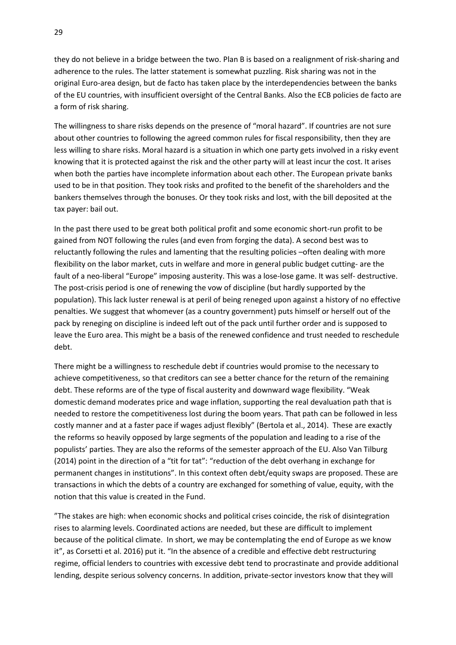they do not believe in a bridge between the two. Plan B is based on a realignment of risk-sharing and adherence to the rules. The latter statement is somewhat puzzling. Risk sharing was not in the original Euro-area design, but de facto has taken place by the interdependencies between the banks of the EU countries, with insufficient oversight of the Central Banks. Also the ECB policies de facto are a form of risk sharing.

The willingness to share risks depends on the presence of "moral hazard". If countries are not sure about other countries to following the agreed common rules for fiscal responsibility, then they are less willing to share risks. Moral hazard is a situation in which one party gets involved in a risky event knowing that it is protected against the risk and the other party will at least incur the cost. It arises when both the parties have incomplete information about each other. The European private banks used to be in that position. They took risks and profited to the benefit of the shareholders and the bankers themselves through the bonuses. Or they took risks and lost, with the bill deposited at the tax payer: bail out.

In the past there used to be great both political profit and some economic short-run profit to be gained from NOT following the rules (and even from forging the data). A second best was to reluctantly following the rules and lamenting that the resulting policies –often dealing with more flexibility on the labor market, cuts in welfare and more in general public budget cutting- are the fault of a neo-liberal "Europe" imposing austerity. This was a lose-lose game. It was self- destructive. The post-crisis period is one of renewing the vow of discipline (but hardly supported by the population). This lack luster renewal is at peril of being reneged upon against a history of no effective penalties. We suggest that whomever (as a country government) puts himself or herself out of the pack by reneging on discipline is indeed left out of the pack until further order and is supposed to leave the Euro area. This might be a basis of the renewed confidence and trust needed to reschedule debt.

There might be a willingness to reschedule debt if countries would promise to the necessary to achieve competitiveness, so that creditors can see a better chance for the return of the remaining debt. These reforms are of the type of fiscal austerity and downward wage flexibility. "Weak domestic demand moderates price and wage inflation, supporting the real devaluation path that is needed to restore the competitiveness lost during the boom years. That path can be followed in less costly manner and at a faster pace if wages adjust flexibly" (Bertola et al., 2014). These are exactly the reforms so heavily opposed by large segments of the population and leading to a rise of the populists' parties. They are also the reforms of the semester approach of the EU. Also Van Tilburg (2014) point in the direction of a "tit for tat": "reduction of the debt overhang in exchange for permanent changes in institutions". In this context often debt/equity swaps are proposed. These are transactions in which the debts of a country are exchanged for something of value, equity, with the notion that this value is created in the Fund.

"The stakes are high: when economic shocks and political crises coincide, the risk of disintegration rises to alarming levels. Coordinated actions are needed, but these are difficult to implement because of the political climate. In short, we may be contemplating the end of Europe as we know it", as Corsetti et al. 2016) put it. "In the absence of a credible and effective debt restructuring regime, official lenders to countries with excessive debt tend to procrastinate and provide additional lending, despite serious solvency concerns. In addition, private-sector investors know that they will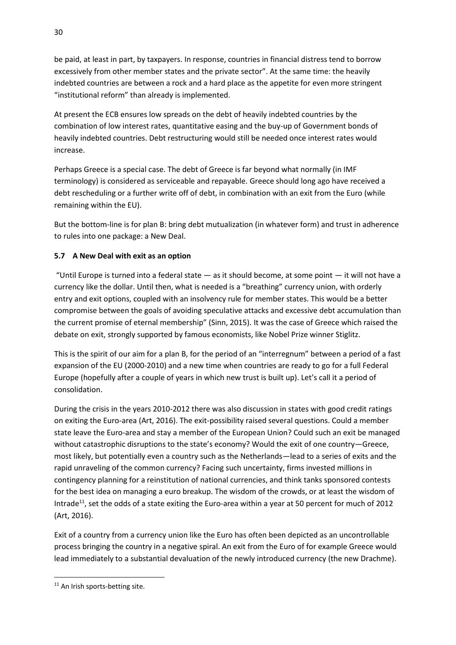be paid, at least in part, by taxpayers. In response, countries in financial distress tend to borrow excessively from other member states and the private sector". At the same time: the heavily indebted countries are between a rock and a hard place as the appetite for even more stringent "institutional reform" than already is implemented.

At present the ECB ensures low spreads on the debt of heavily indebted countries by the combination of low interest rates, quantitative easing and the buy-up of Government bonds of heavily indebted countries. Debt restructuring would still be needed once interest rates would increase.

Perhaps Greece is a special case. The debt of Greece is far beyond what normally (in IMF terminology) is considered as serviceable and repayable. Greece should long ago have received a debt rescheduling or a further write off of debt, in combination with an exit from the Euro (while remaining within the EU).

But the bottom-line is for plan B: bring debt mutualization (in whatever form) and trust in adherence to rules into one package: a New Deal.

## **5.7 A New Deal with exit as an option**

"Until Europe is turned into a federal state  $-$  as it should become, at some point  $-$  it will not have a currency like the dollar. Until then, what is needed is a "breathing" currency union, with orderly entry and exit options, coupled with an insolvency rule for member states. This would be a better compromise between the goals of avoiding speculative attacks and excessive debt accumulation than the current promise of eternal membership" (Sinn, 2015). It was the case of Greece which raised the debate on exit, strongly supported by famous economists, like Nobel Prize winner Stiglitz.

This is the spirit of our aim for a plan B, for the period of an "interregnum" between a period of a fast expansion of the EU (2000-2010) and a new time when countries are ready to go for a full Federal Europe (hopefully after a couple of years in which new trust is built up). Let's call it a period of consolidation.

During the crisis in the years 2010-2012 there was also discussion in states with good credit ratings on exiting the Euro-area (Art, 2016). The exit-possibility raised several questions. Could a member state leave the Euro-area and stay a member of the European Union? Could such an exit be managed without catastrophic disruptions to the state's economy? Would the exit of one country—Greece, most likely, but potentially even a country such as the Netherlands—lead to a series of exits and the rapid unraveling of the common currency? Facing such uncertainty, firms invested millions in contingency planning for a reinstitution of national currencies, and think tanks sponsored contests for the best idea on managing a euro breakup. The wisdom of the crowds, or at least the wisdom of Intrade<sup>11</sup>, set the odds of a state exiting the Euro-area within a year at 50 percent for much of 2012 (Art, 2016).

Exit of a country from a currency union like the Euro has often been depicted as an uncontrollable process bringing the country in a negative spiral. An exit from the Euro of for example Greece would lead immediately to a substantial devaluation of the newly introduced currency (the new Drachme).

**.** 

<sup>&</sup>lt;sup>11</sup> An Irish sports-betting site.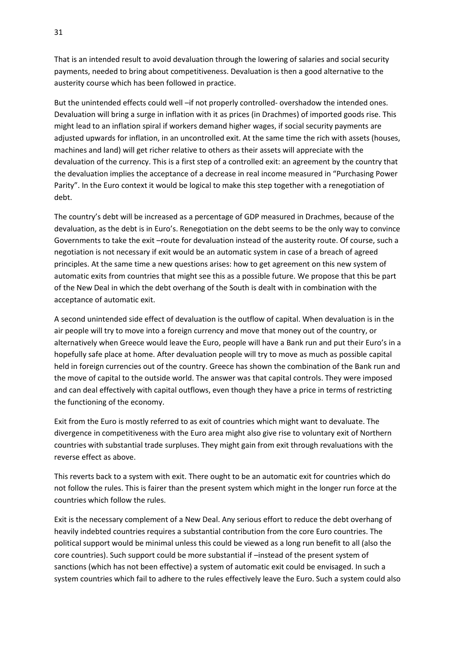That is an intended result to avoid devaluation through the lowering of salaries and social security payments, needed to bring about competitiveness. Devaluation is then a good alternative to the austerity course which has been followed in practice.

But the unintended effects could well –if not properly controlled- overshadow the intended ones. Devaluation will bring a surge in inflation with it as prices (in Drachmes) of imported goods rise. This might lead to an inflation spiral if workers demand higher wages, if social security payments are adjusted upwards for inflation, in an uncontrolled exit. At the same time the rich with assets (houses, machines and land) will get richer relative to others as their assets will appreciate with the devaluation of the currency. This is a first step of a controlled exit: an agreement by the country that the devaluation implies the acceptance of a decrease in real income measured in "Purchasing Power Parity". In the Euro context it would be logical to make this step together with a renegotiation of debt.

The country's debt will be increased as a percentage of GDP measured in Drachmes, because of the devaluation, as the debt is in Euro's. Renegotiation on the debt seems to be the only way to convince Governments to take the exit –route for devaluation instead of the austerity route. Of course, such a negotiation is not necessary if exit would be an automatic system in case of a breach of agreed principles. At the same time a new questions arises: how to get agreement on this new system of automatic exits from countries that might see this as a possible future. We propose that this be part of the New Deal in which the debt overhang of the South is dealt with in combination with the acceptance of automatic exit.

A second unintended side effect of devaluation is the outflow of capital. When devaluation is in the air people will try to move into a foreign currency and move that money out of the country, or alternatively when Greece would leave the Euro, people will have a Bank run and put their Euro's in a hopefully safe place at home. After devaluation people will try to move as much as possible capital held in foreign currencies out of the country. Greece has shown the combination of the Bank run and the move of capital to the outside world. The answer was that capital controls. They were imposed and can deal effectively with capital outflows, even though they have a price in terms of restricting the functioning of the economy.

Exit from the Euro is mostly referred to as exit of countries which might want to devaluate. The divergence in competitiveness with the Euro area might also give rise to voluntary exit of Northern countries with substantial trade surpluses. They might gain from exit through revaluations with the reverse effect as above.

This reverts back to a system with exit. There ought to be an automatic exit for countries which do not follow the rules. This is fairer than the present system which might in the longer run force at the countries which follow the rules.

Exit is the necessary complement of a New Deal. Any serious effort to reduce the debt overhang of heavily indebted countries requires a substantial contribution from the core Euro countries. The political support would be minimal unless this could be viewed as a long run benefit to all (also the core countries). Such support could be more substantial if –instead of the present system of sanctions (which has not been effective) a system of automatic exit could be envisaged. In such a system countries which fail to adhere to the rules effectively leave the Euro. Such a system could also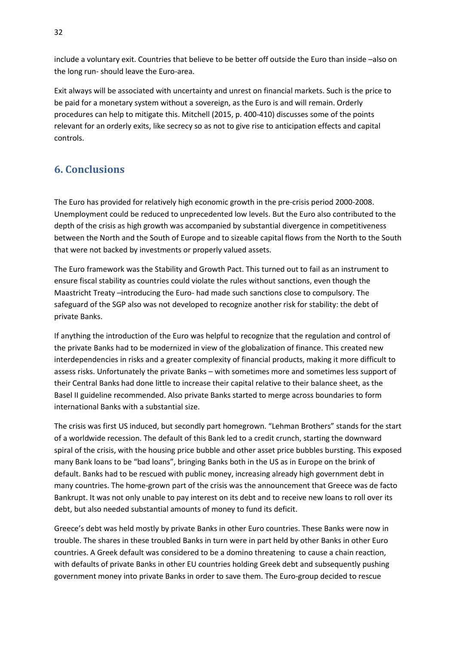include a voluntary exit. Countries that believe to be better off outside the Euro than inside –also on the long run- should leave the Euro-area.

Exit always will be associated with uncertainty and unrest on financial markets. Such is the price to be paid for a monetary system without a sovereign, as the Euro is and will remain. Orderly procedures can help to mitigate this. Mitchell (2015, p. 400-410) discusses some of the points relevant for an orderly exits, like secrecy so as not to give rise to anticipation effects and capital controls.

# **6. Conclusions**

The Euro has provided for relatively high economic growth in the pre-crisis period 2000-2008. Unemployment could be reduced to unprecedented low levels. But the Euro also contributed to the depth of the crisis as high growth was accompanied by substantial divergence in competitiveness between the North and the South of Europe and to sizeable capital flows from the North to the South that were not backed by investments or properly valued assets.

The Euro framework was the Stability and Growth Pact. This turned out to fail as an instrument to ensure fiscal stability as countries could violate the rules without sanctions, even though the Maastricht Treaty –introducing the Euro- had made such sanctions close to compulsory. The safeguard of the SGP also was not developed to recognize another risk for stability: the debt of private Banks.

If anything the introduction of the Euro was helpful to recognize that the regulation and control of the private Banks had to be modernized in view of the globalization of finance. This created new interdependencies in risks and a greater complexity of financial products, making it more difficult to assess risks. Unfortunately the private Banks – with sometimes more and sometimes less support of their Central Banks had done little to increase their capital relative to their balance sheet, as the Basel II guideline recommended. Also private Banks started to merge across boundaries to form international Banks with a substantial size.

The crisis was first US induced, but secondly part homegrown. "Lehman Brothers" stands for the start of a worldwide recession. The default of this Bank led to a credit crunch, starting the downward spiral of the crisis, with the housing price bubble and other asset price bubbles bursting. This exposed many Bank loans to be "bad loans", bringing Banks both in the US as in Europe on the brink of default. Banks had to be rescued with public money, increasing already high government debt in many countries. The home-grown part of the crisis was the announcement that Greece was de facto Bankrupt. It was not only unable to pay interest on its debt and to receive new loans to roll over its debt, but also needed substantial amounts of money to fund its deficit.

Greece's debt was held mostly by private Banks in other Euro countries. These Banks were now in trouble. The shares in these troubled Banks in turn were in part held by other Banks in other Euro countries. A Greek default was considered to be a domino threatening to cause a chain reaction, with defaults of private Banks in other EU countries holding Greek debt and subsequently pushing government money into private Banks in order to save them. The Euro-group decided to rescue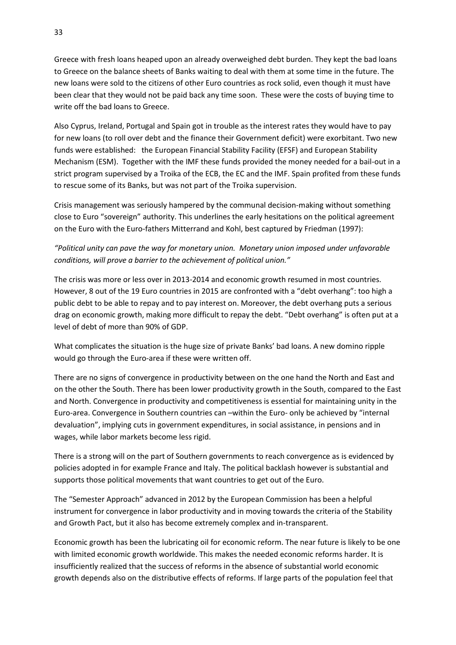Greece with fresh loans heaped upon an already overweighed debt burden. They kept the bad loans to Greece on the balance sheets of Banks waiting to deal with them at some time in the future. The new loans were sold to the citizens of other Euro countries as rock solid, even though it must have been clear that they would not be paid back any time soon. These were the costs of buying time to write off the bad loans to Greece.

Also Cyprus, Ireland, Portugal and Spain got in trouble as the interest rates they would have to pay for new loans (to roll over debt and the finance their Government deficit) were exorbitant. Two new funds were established: the [European Financial Stability Facility](https://en.wikipedia.org/wiki/European_Financial_Stability_Facility) (EFSF) and [European Stability](https://en.wikipedia.org/wiki/European_Stability_Mechanism)  [Mechanism](https://en.wikipedia.org/wiki/European_Stability_Mechanism) (ESM). Together with the IMF these funds provided the money needed for a bail-out in a strict program supervised by a Troika of the ECB, the EC and the IMF. Spain profited from these funds to rescue some of its Banks, but was not part of the Troika supervision.

Crisis management was seriously hampered by the communal decision-making without something close to Euro "sovereign" authority. This underlines the early hesitations on the political agreement on the Euro with the Euro-fathers Mitterrand and Kohl, best captured by Friedman (1997):

*"Political unity can pave the way for monetary union. Monetary union imposed under unfavorable conditions, will prove a barrier to the achievement of political union."*

The crisis was more or less over in 2013-2014 and economic growth resumed in most countries. However, 8 out of the 19 Euro countries in 2015 are confronted with a "debt overhang": too high a public debt to be able to repay and to pay interest on. Moreover, the debt overhang puts a serious drag on economic growth, making more difficult to repay the debt. "Debt overhang" is often put at a level of debt of more than 90% of GDP.

What complicates the situation is the huge size of private Banks' bad loans. A new domino ripple would go through the Euro-area if these were written off.

There are no signs of convergence in productivity between on the one hand the North and East and on the other the South. There has been lower productivity growth in the South, compared to the East and North. Convergence in productivity and competitiveness is essential for maintaining unity in the Euro-area. Convergence in Southern countries can –within the Euro- only be achieved by "internal devaluation", implying cuts in government expenditures, in social assistance, in pensions and in wages, while labor markets become less rigid.

There is a strong will on the part of Southern governments to reach convergence as is evidenced by policies adopted in for example France and Italy. The political backlash however is substantial and supports those political movements that want countries to get out of the Euro.

The "Semester Approach" advanced in 2012 by the European Commission has been a helpful instrument for convergence in labor productivity and in moving towards the criteria of the Stability and Growth Pact, but it also has become extremely complex and in-transparent.

Economic growth has been the lubricating oil for economic reform. The near future is likely to be one with limited economic growth worldwide. This makes the needed economic reforms harder. It is insufficiently realized that the success of reforms in the absence of substantial world economic growth depends also on the distributive effects of reforms. If large parts of the population feel that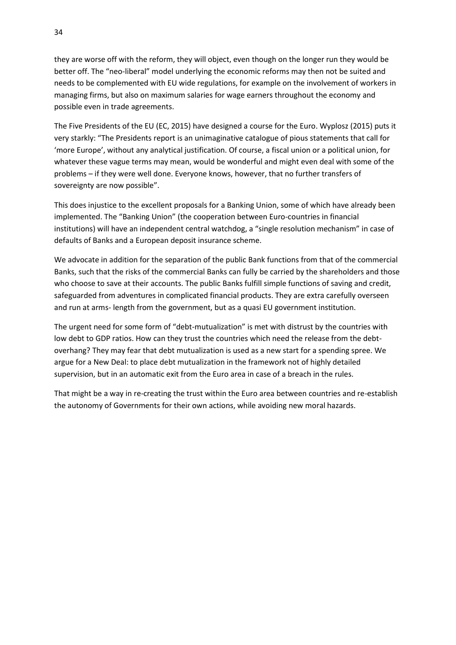they are worse off with the reform, they will object, even though on the longer run they would be better off. The "neo-liberal" model underlying the economic reforms may then not be suited and needs to be complemented with EU wide regulations, for example on the involvement of workers in managing firms, but also on maximum salaries for wage earners throughout the economy and possible even in trade agreements.

The Five Presidents of the EU (EC, 2015) have designed a course for the Euro. Wyplosz (2015) puts it very starkly: "The Presidents report is an unimaginative catalogue of pious statements that call for 'more Europe', without any analytical justification. Of course, a fiscal union or a political union, for whatever these vague terms may mean, would be wonderful and might even deal with some of the problems – if they were well done. Everyone knows, however, that no further transfers of sovereignty are now possible".

This does injustice to the excellent proposals for a Banking Union, some of which have already been implemented. The "Banking Union" (the cooperation between Euro-countries in financial institutions) will have an independent central watchdog, a "single resolution mechanism" in case of defaults of Banks and a European deposit insurance scheme.

We advocate in addition for the separation of the public Bank functions from that of the commercial Banks, such that the risks of the commercial Banks can fully be carried by the shareholders and those who choose to save at their accounts. The public Banks fulfill simple functions of saving and credit, safeguarded from adventures in complicated financial products. They are extra carefully overseen and run at arms- length from the government, but as a quasi EU government institution.

The urgent need for some form of "debt-mutualization" is met with distrust by the countries with low debt to GDP ratios. How can they trust the countries which need the release from the debtoverhang? They may fear that debt mutualization is used as a new start for a spending spree. We argue for a New Deal: to place debt mutualization in the framework not of highly detailed supervision, but in an automatic exit from the Euro area in case of a breach in the rules.

That might be a way in re-creating the trust within the Euro area between countries and re-establish the autonomy of Governments for their own actions, while avoiding new moral hazards.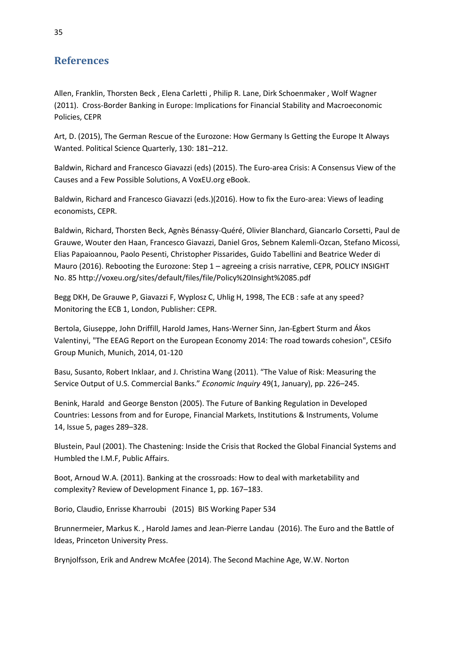## **References**

Allen, Franklin, Thorsten Beck , Elena Carletti , Philip R. Lane, Dirk Schoenmaker , Wolf Wagner (2011). Cross-Border Banking in Europe: Implications for Financial Stability and Macroeconomic Policies, CEPR

Art, D. (2015), The German Rescue of the Eurozone: How Germany Is Getting the Europe It Always Wanted. Political Science Quarterly, 130: 181–212.

Baldwin, Richard and Francesco Giavazzi (eds) (2015). The Euro-area Crisis: A Consensus View of the Causes and a Few Possible Solutions, A VoxEU.org eBook.

Baldwin, Richard and Francesco Giavazzi (eds.)(2016). How to fix the Euro-area: Views of leading economists, CEPR.

Baldwin, Richard, Thorsten Beck, Agnès Bénassy-Quéré, Olivier Blanchard, Giancarlo Corsetti, Paul de Grauwe, Wouter den Haan, Francesco Giavazzi, Daniel Gros, Sebnem Kalemli-Ozcan, Stefano Micossi, Elias Papaioannou, Paolo Pesenti, Christopher Pissarides, Guido Tabellini and Beatrice Weder di Mauro (2016). Rebooting the Eurozone: Step 1 – agreeing a crisis narrative, CEPR, POLICY INSIGHT No. 85 http://voxeu.org/sites/default/files/file/Policy%20Insight%2085.pdf

Begg DKH, De Grauwe P, Giavazzi F, Wyplosz C, Uhlig H, 1998, The ECB : safe at any speed? Monitoring the ECB 1, London, Publisher: CEPR.

Bertola, Giuseppe, John Driffill, Harold James, Hans-Werner Sinn, Jan-Egbert Sturm and Ákos Valentinyi, "The EEAG Report on the European Economy 2014: The road towards cohesion", CESifo Group Munich, Munich, 2014, 01-120

Basu, Susanto, Robert Inklaar, and J. Christina Wang (2011). "The Value of Risk: Measuring the Service Output of U.S. Commercial Banks." *Economic Inquiry* 49(1, January), pp. 226–245.

[Benink,](http://academic.research.microsoft.com/Author/4229947/harald-a-benink) Harald an[d George Benston](http://academic.research.microsoft.com/Author/10496256/george-j-benston) (2005). The Future of Banking Regulation in Developed Countries: Lessons from and for Europe, Financial Markets, Institutions & Instruments, [Volume](http://onlinelibrary.wiley.com/doi/10.1111/fmii.2005.14.issue-5/issuetoc)  14, [Issue 5,](http://onlinelibrary.wiley.com/doi/10.1111/fmii.2005.14.issue-5/issuetoc) pages 289–328.

Blustein, Paul (2001). The Chastening: Inside the Crisis that Rocked the Global Financial Systems and Humbled the I.M.F, Public Affairs.

Boot, Arnoud W.A. (2011). Banking at the crossroads: How to deal with marketability and complexity? Review of Development Finance 1, pp. 167–183.

Borio, Claudio, Enrisse Kharroubi (2015) BIS Working Paper 534

Brunnermeier, Markus K. , Harold James and Jean-Pierre Landau (2016). The Euro and the Battle of Ideas, Princeton University Press.

Brynjolfsson, Erik and Andrew McAfee (2014). The Second Machine Age, W.W. Norton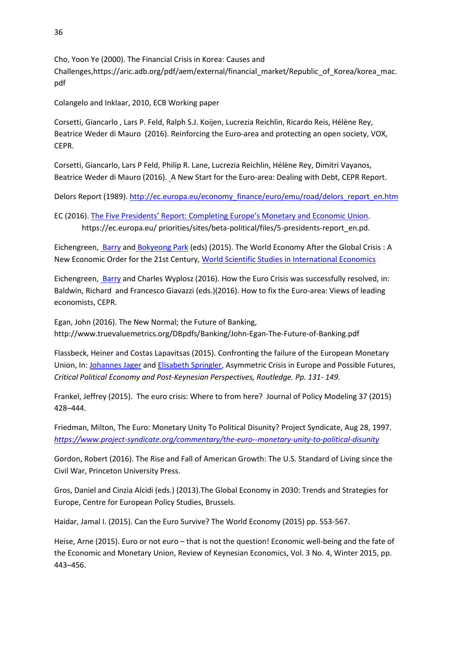Cho, Yoon Ye (2000). The Financial Crisis in Korea: Causes and Challenges,https://aric.adb.org/pdf/aem/external/financial\_market/Republic\_of\_Korea/korea\_mac. pdf

Colangelo and Inklaar, 2010, ECB Working paper

Corsetti, Giancarlo , Lars P. Feld, Ralph S.J. Koijen, Lucrezia Reichlin, Ricardo Reis, Hélène Rey, Beatrice Weder di Mauro (2016). Reinforcing the Euro-area and protecting an open society, VOX, CEPR.

Corsetti, Giancarlo, Lars P Feld, Philip R. Lane, Lucrezia Reichlin, Hélène Rey, Dimitri Vayanos, Beatrice Weder di Mauro (2016)[. A New Start for the Euro-area: Dealing with Debt, CEPR Report.](http://voxeu.org/article/new-cepr-report-new-start-eurozone-dealing-debt) 

Delors Report (1989). [http://ec.europa.eu/economy\\_finance/euro/emu/road/delors\\_report\\_en.htm](http://ec.europa.eu/economy_finance/euro/emu/road/delors_report_en.htm)

EC (2016). The Five Presidents' Report: [Completing Europe's Monetary and Economic Union](https://ec.europa.eu/priorities/publications/five-presidents-report-completing-europes-economic-and-monetary-union_en). https://ec.europa.eu/ priorities/sites/beta-political/files/5-presidents-report\_en.pd.

Eichengreen[, Barry](http://www.bookdepository.com/author/Professor-of-Economics-and-Political-Science-Barry-Eichengreen) and [Bokyeong Park](http://www.bookdepository.com/author/Bokyeong-Park) (eds) (2015). The World Economy After the Global Crisis : A New Economic Order for the 21st Century, [World Scientific Studies in International Economics](https://www.bookdepository.com/search/advanced?seriesId=409946)

Eichengreen[, Barry](http://www.bookdepository.com/author/Professor-of-Economics-and-Political-Science-Barry-Eichengreen) and Charles Wyplosz (2016). How the Euro Crisis was successfully resolved, in: Baldwin, Richard and Francesco Giavazzi (eds.)(2016). How to fix the Euro-area: Views of leading economists, CEPR.

Egan, John (2016). The New Normal; the Future of Banking, http://www.truevaluemetrics.org/DBpdfs/Banking/John-Egan-The-Future-of-Banking.pdf

Flassbeck, Heiner and Costas Lapavitsas (2015). Confronting the failure of the European Monetary Union, In: [Johannes Jager](http://www.bokus.com/cgi-bin/product_search.cgi?authors=Johannes%20Jager) and [Elisabeth Springler,](http://www.bokus.com/cgi-bin/product_search.cgi?authors=Elisabeth%20Springler) Asymmetric Crisis in Europe and Possible Futures, *Critical Political Economy and Post-Keynesian Perspectives, Routledge. Pp. 131- 149.*

Frankel, Jeffrey (2015).The euro crisis: Where to from here? Journal of Policy Modeling 37 (2015) 428–444.

Friedman, Milton, The Euro: Monetary Unity To Political Disunity? Project Syndicate, Aug 28, 1997. *<https://www.project-syndicate.org/commentary/the-euro--monetary-unity-to-political-disunity>*

Gordon, Robert (2016). The Rise and Fall of American Growth: The U.S. Standard of Living since the Civil War, Princeton University Press.

Gros, Daniel and Cinzia Alcidi (eds.) (2013).The Global Economy in 2030: Trends and Strategies for Europe, Centre for European Policy Studies, Brussels.

Haidar, Jamal I. (2015). Can the Euro Survive? The World Economy (2015) pp. 553-567.

Heise, Arne (2015). Euro or not euro – that is not the question! Economic well-being and the fate of the Economic and Monetary Union, Review of Keynesian Economics, Vol. 3 No. 4, Winter 2015, pp. 443–456.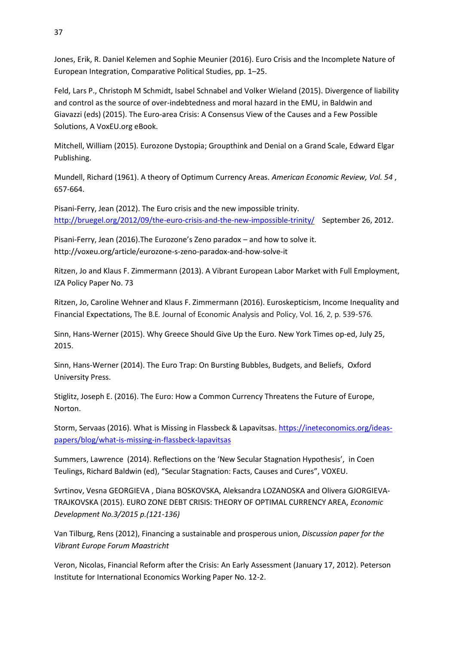Jones, Erik, R. Daniel Kelemen and Sophie Meunier (2016). Euro Crisis and the Incomplete Nature of European Integration, Comparative Political Studies, pp. 1–25.

Feld, Lars P., Christoph M Schmidt, Isabel Schnabel and Volker Wieland (2015). Divergence of liability and control as the source of over-indebtedness and moral hazard in the EMU, in Baldwin and Giavazzi (eds) (2015). The Euro-area Crisis: A Consensus View of the Causes and a Few Possible Solutions, A VoxEU.org eBook.

Mitchell, William (2015). Eurozone Dystopia; Groupthink and Denial on a Grand Scale, Edward Elgar Publishing.

Mundell, Richard (1961). A theory of Optimum Currency Areas. *American Economic Review, Vol. 54* , 657-664.

Pisani-Ferry, Jean (2012). The Euro crisis and the new impossible trinity. <http://bruegel.org/2012/09/the-euro-crisis-and-the-new-impossible-trinity/>September 26, 2012.

Pisani-Ferry, Jean (2016).The Eurozone's Zeno paradox – and how to solve it. http://voxeu.org/article/eurozone-s-zeno-paradox-and-how-solve-it

Ritzen, Jo and Klaus F. Zimmermann (2013). A Vibrant European Labor Market with Full Employment, IZA Policy Paper No. 73

Ritzen, Jo, Caroline Wehner and Klaus F. Zimmermann (2016). Euroskepticism, Income Inequality and Financial Expectations, The B.E. Journal of Economic Analysis and Policy, Vol. 16, 2, p. 539-576.

Sinn, Hans-Werner (2015). Why Greece Should Give Up the Euro. New York Times op-ed, July 25, 2015.

Sinn, Hans-Werner (2014). The Euro Trap: On Bursting Bubbles, Budgets, and Beliefs, Oxford University Press.

Stiglitz, Joseph E. (2016). The Euro: How a Common Currency Threatens the Future of Europe, Norton.

[Storm,](https://ineteconomics.org/community/experts/sstorm) Servaas (2016). What is Missing in Flassbeck & Lapavitsas. [https://ineteconomics.org/ideas](https://ineteconomics.org/ideas-papers/blog/what-is-missing-in-flassbeck-lapavitsas)[papers/blog/what-is-missing-in-flassbeck-lapavitsas](https://ineteconomics.org/ideas-papers/blog/what-is-missing-in-flassbeck-lapavitsas)

Summers, Lawrence (2014). Reflections on the 'New Secular Stagnation Hypothesis', in Coen Teulings, Richard Baldwin (ed), "Secular Stagnation: Facts, Causes and Cures", VOXEU.

Svrtinov, Vesna GEORGIEVA , Diana BOSKOVSKA, Aleksandra LOZANOSKA and Olivera GJORGIEVA-TRAJKOVSKA (2015). EURO ZONE DEBT CRISIS: THEORY OF OPTIMAL CURRENCY AREA, *Economic Development No.3/2015 p.(121-136)*

Van Tilburg, Rens (2012), Financing a sustainable and prosperous union, *Discussion paper for the Vibrant Europe Forum Maastricht*

Veron, Nicolas, Financial Reform after the Crisis: An Early Assessment (January 17, 2012). Peterson Institute for International Economics Working Paper No. 12-2.